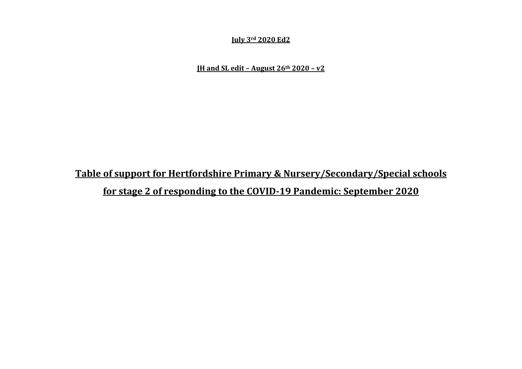#### **July 3rd 2020 Ed2**

**JH and SL edit – August 26th 2020 – v2**

## **Table of support for Hertfordshire Primary & Nursery/Secondary/Special schools**

**for stage 2 of responding to the COVID-19 Pandemic: September 2020**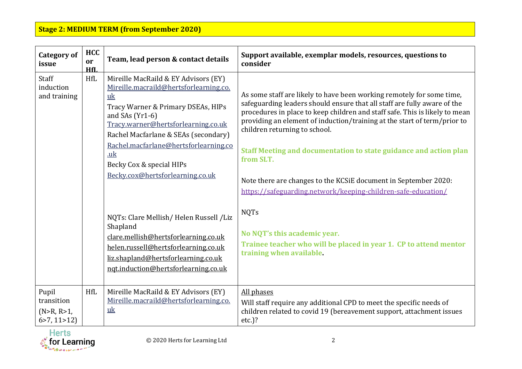| <b>Category of</b><br>issue                             | <b>HCC</b><br>or<br>HfI. | Team, lead person & contact details                                                                                                                                                                                                                                                                                                                                                                                                                                                                                                                                      | Support available, exemplar models, resources, questions to<br>consider                                                                                                                                                                                                                                                                                                                                                                                                                                                                                                                                                                                                                                             |
|---------------------------------------------------------|--------------------------|--------------------------------------------------------------------------------------------------------------------------------------------------------------------------------------------------------------------------------------------------------------------------------------------------------------------------------------------------------------------------------------------------------------------------------------------------------------------------------------------------------------------------------------------------------------------------|---------------------------------------------------------------------------------------------------------------------------------------------------------------------------------------------------------------------------------------------------------------------------------------------------------------------------------------------------------------------------------------------------------------------------------------------------------------------------------------------------------------------------------------------------------------------------------------------------------------------------------------------------------------------------------------------------------------------|
| Staff<br>induction<br>and training                      | <b>HfL</b>               | Mireille MacRaild & EY Advisors (EY)<br>Mireille.macraild@hertsforlearning.co.<br>uk<br>Tracy Warner & Primary DSEAs, HIPs<br>and SAs $(Yr1-6)$<br>Tracy.warner@hertsforlearning.co.uk<br>Rachel Macfarlane & SEAs (secondary)<br>Rachel.macfarlane@hertsforlearning.co<br>$u_{ik}$<br>Becky Cox & special HIPs<br>Becky.cox@hertsforlearning.co.uk<br>NQTs: Clare Mellish/Helen Russell /Liz<br>Shapland<br>clare.mellish@hertsforlearning.co.uk<br>helen.russell@hertsforlearning.co.uk<br>liz.shapland@hertsforlearning.co.uk<br>ngt.induction@hertsforlearning.co.uk | As some staff are likely to have been working remotely for some time,<br>safeguarding leaders should ensure that all staff are fully aware of the<br>procedures in place to keep children and staff safe. This is likely to mean<br>providing an element of induction/training at the start of term/prior to<br>children returning to school.<br>Staff Meeting and documentation to state guidance and action plan<br>from SLT.<br>Note there are changes to the KCSiE document in September 2020:<br>https://safeguarding.network/keeping-children-safe-education/<br><b>NQTs</b><br>No NQT's this academic year.<br>Trainee teacher who will be placed in year 1. CP to attend mentor<br>training when available. |
| Pupil<br>transition<br>(N > R, R > 1,<br>6 > 7, 11 > 12 | <b>HfL</b>               | Mireille MacRaild & EY Advisors (EY)<br>Mireille.macraild@hertsforlearning.co.<br>uk                                                                                                                                                                                                                                                                                                                                                                                                                                                                                     | All phases<br>Will staff require any additional CPD to meet the specific needs of<br>children related to covid 19 (bereavement support, attachment issues<br>$etc.$ )?                                                                                                                                                                                                                                                                                                                                                                                                                                                                                                                                              |

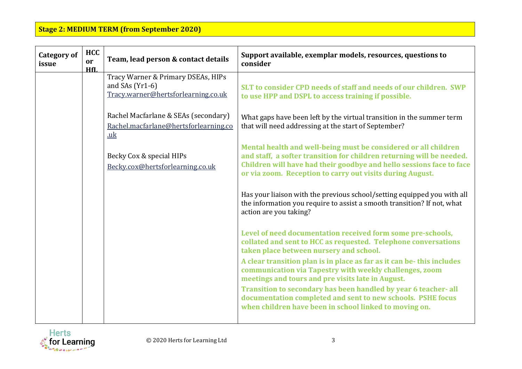| <b>Category of</b><br>issue | <b>HCC</b><br>or<br>HfL | Team, lead person & contact details                                                            | Support available, exemplar models, resources, questions to<br>consider                                                                                                                                                                                                       |
|-----------------------------|-------------------------|------------------------------------------------------------------------------------------------|-------------------------------------------------------------------------------------------------------------------------------------------------------------------------------------------------------------------------------------------------------------------------------|
|                             |                         | Tracy Warner & Primary DSEAs, HIPs<br>and SAs $(Yr1-6)$<br>Tracy.warner@hertsforlearning.co.uk | SLT to consider CPD needs of staff and needs of our children. SWP<br>to use HPP and DSPL to access training if possible.                                                                                                                                                      |
|                             |                         | Rachel Macfarlane & SEAs (secondary)<br>Rachel.macfarlane@hertsforlearning.co<br>uk            | What gaps have been left by the virtual transition in the summer term<br>that will need addressing at the start of September?                                                                                                                                                 |
|                             |                         | Becky Cox & special HIPs<br>Becky.cox@hertsforlearning.co.uk                                   | Mental health and well-being must be considered or all children<br>and staff, a softer transition for children returning will be needed.<br>Children will have had their goodbye and hello sessions face to face<br>or via zoom. Reception to carry out visits during August. |
|                             |                         |                                                                                                | Has your liaison with the previous school/setting equipped you with all<br>the information you require to assist a smooth transition? If not, what<br>action are you taking?                                                                                                  |
|                             |                         |                                                                                                | Level of need documentation received form some pre-schools,<br>collated and sent to HCC as requested. Telephone conversations<br>taken place between nursery and school.                                                                                                      |
|                             |                         |                                                                                                | A clear transition plan is in place as far as it can be- this includes<br>communication via Tapestry with weekly challenges, zoom<br>meetings and tours and pre visits late in August.                                                                                        |
|                             |                         |                                                                                                | Transition to secondary has been handled by year 6 teacher-all<br>documentation completed and sent to new schools. PSHE focus<br>when children have been in school linked to moving on.                                                                                       |

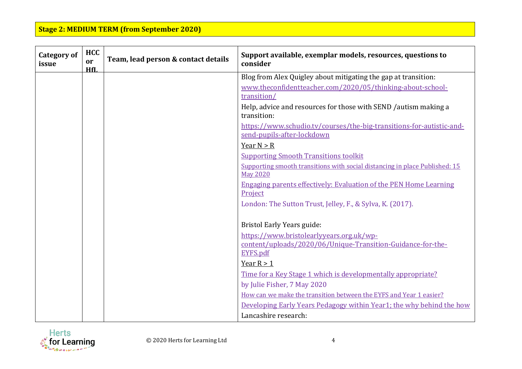| <b>Category of</b><br>issue | <b>HCC</b><br>or<br>HfI. | Team, lead person & contact details | Support available, exemplar models, resources, questions to<br>consider                                             |
|-----------------------------|--------------------------|-------------------------------------|---------------------------------------------------------------------------------------------------------------------|
|                             |                          |                                     | Blog from Alex Quigley about mitigating the gap at transition:                                                      |
|                             |                          |                                     | www.theconfidentteacher.com/2020/05/thinking-about-school-<br>transition/                                           |
|                             |                          |                                     | Help, advice and resources for those with SEND / autism making a<br>transition:                                     |
|                             |                          |                                     | https://www.schudio.tv/courses/the-big-transitions-for-autistic-and-<br>send-pupils-after-lockdown                  |
|                             |                          |                                     | Year $N > R$                                                                                                        |
|                             |                          |                                     | <b>Supporting Smooth Transitions toolkit</b>                                                                        |
|                             |                          |                                     | Supporting smooth transitions with social distancing in place Published: 15<br><b>May 2020</b>                      |
|                             |                          |                                     | <b>Engaging parents effectively: Evaluation of the PEN Home Learning</b><br>Project                                 |
|                             |                          |                                     | London: The Sutton Trust, Jelley, F., & Sylva, K. (2017).                                                           |
|                             |                          |                                     | <b>Bristol Early Years guide:</b>                                                                                   |
|                             |                          |                                     | https://www.bristolearlyyears.org.uk/wp-<br>content/uploads/2020/06/Unique-Transition-Guidance-for-the-<br>EYFS.pdf |
|                             |                          |                                     | Year $R > 1$                                                                                                        |
|                             |                          |                                     | Time for a Key Stage 1 which is developmentally appropriate?                                                        |
|                             |                          |                                     | by Julie Fisher, 7 May 2020                                                                                         |
|                             |                          |                                     | How can we make the transition between the EYFS and Year 1 easier?                                                  |
|                             |                          |                                     | Developing Early Years Pedagogy within Year1; the why behind the how                                                |
|                             |                          |                                     | Lancashire research:                                                                                                |

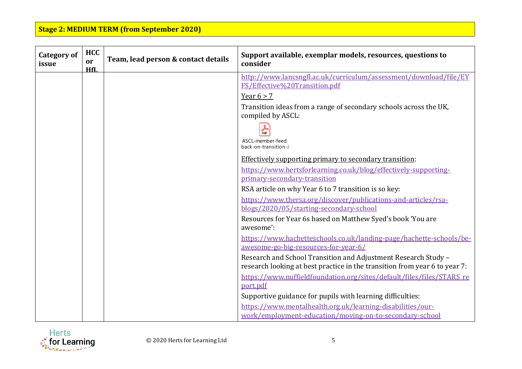| <b>Category of</b><br>issue | <b>HCC</b><br>or<br>HfI. | Team, lead person & contact details | Support available, exemplar models, resources, questions to<br>consider                                               |
|-----------------------------|--------------------------|-------------------------------------|-----------------------------------------------------------------------------------------------------------------------|
|                             |                          |                                     | http://www.lancsngfl.ac.uk/curriculum/assessment/download/file/EY<br>FS/Effective%20Transition.pdf                    |
|                             |                          |                                     | Year $6 > 7$                                                                                                          |
|                             |                          |                                     | Transition ideas from a range of secondary schools across the UK,<br>compiled by ASCL:                                |
|                             |                          |                                     | <b>DDF</b>                                                                                                            |
|                             |                          |                                     | ASCL-member-feed<br>back-on-transition-J                                                                              |
|                             |                          |                                     | Effectively supporting primary to secondary transition:                                                               |
|                             |                          |                                     | https://www.hertsforlearning.co.uk/blog/effectively-supporting-                                                       |
|                             |                          |                                     | primary-secondary-transition                                                                                          |
|                             |                          |                                     | RSA article on why Year 6 to 7 transition is so key:                                                                  |
|                             |                          |                                     | https://www.thersa.org/discover/publications-and-articles/rsa-<br>blogs/2020/05/starting-secondary-school             |
|                             |                          |                                     | Resources for Year 6s based on Matthew Syed's book 'You are<br>awesome':                                              |
|                             |                          |                                     | https://www.hachetteschools.co.uk/landing-page/hachette-schools/be-                                                   |
|                             |                          |                                     | awesome-go-big-resources-for-year-6/                                                                                  |
|                             |                          |                                     | Research and School Transition and Adjustment Research Study -                                                        |
|                             |                          |                                     | research looking at best practice in the transition from year 6 to year 7:                                            |
|                             |                          |                                     | https://www.nuffieldfoundation.org/sites/default/files/files/STARS re                                                 |
|                             |                          |                                     | port.pdf                                                                                                              |
|                             |                          |                                     | Supportive guidance for pupils with learning difficulties:                                                            |
|                             |                          |                                     | https://www.mentalhealth.org.uk/learning-disabilities/our-<br>work/employment-education/moving-on-to-secondary-school |

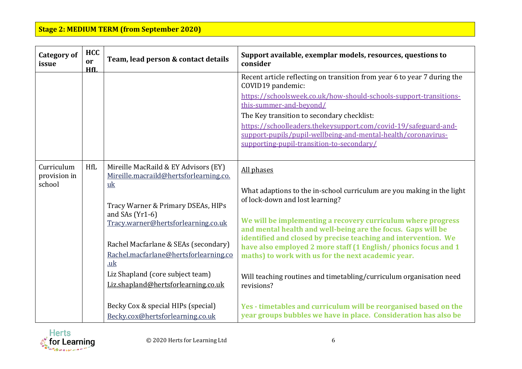| <b>Category of</b><br>issue          | <b>HCC</b><br><b>or</b><br>HfL | Team, lead person & contact details                                                                                                                                                                                                                                                                                                                                                                                                               | Support available, exemplar models, resources, questions to<br>consider                                                                                                                                                                                                                                                                                                                                                                                                                                                                                                                                                                                                       |
|--------------------------------------|--------------------------------|---------------------------------------------------------------------------------------------------------------------------------------------------------------------------------------------------------------------------------------------------------------------------------------------------------------------------------------------------------------------------------------------------------------------------------------------------|-------------------------------------------------------------------------------------------------------------------------------------------------------------------------------------------------------------------------------------------------------------------------------------------------------------------------------------------------------------------------------------------------------------------------------------------------------------------------------------------------------------------------------------------------------------------------------------------------------------------------------------------------------------------------------|
|                                      |                                |                                                                                                                                                                                                                                                                                                                                                                                                                                                   | Recent article reflecting on transition from year 6 to year 7 during the<br>COVID19 pandemic:<br>https://schoolsweek.co.uk/how-should-schools-support-transitions-<br>this-summer-and-beyond/<br>The Key transition to secondary checklist:<br>https://schoolleaders.thekeysupport.com/covid-19/safeguard-and-<br>support-pupils/pupil-wellbeing-and-mental-health/coronavirus-<br>supporting-pupil-transition-to-secondary/                                                                                                                                                                                                                                                  |
| Curriculum<br>provision in<br>school | <b>HfL</b>                     | Mireille MacRaild & EY Advisors (EY)<br>Mireille.macraild@hertsforlearning.co.<br>$u$ <sub>k</sub><br>Tracy Warner & Primary DSEAs, HIPs<br>and SAs $(Yr1-6)$<br>Tracy.warner@hertsforlearning.co.uk<br>Rachel Macfarlane & SEAs (secondary)<br>Rachel.macfarlane@hertsforlearning.co<br>.uk<br>Liz Shapland (core subject team)<br>Liz.shapland@hertsforlearning.co.uk<br>Becky Cox & special HIPs (special)<br>Becky.cox@hertsforlearning.co.uk | All phases<br>What adaptions to the in-school curriculum are you making in the light<br>of lock-down and lost learning?<br>We will be implementing a recovery curriculum where progress<br>and mental health and well-being are the focus. Gaps will be<br>identified and closed by precise teaching and intervention. We<br>have also employed 2 more staff (1 English/phonics focus and 1<br>maths) to work with us for the next academic year.<br>Will teaching routines and timetabling/curriculum organisation need<br>revisions?<br>Yes - timetables and curriculum will be reorganised based on the<br>year groups bubbles we have in place. Consideration has also be |

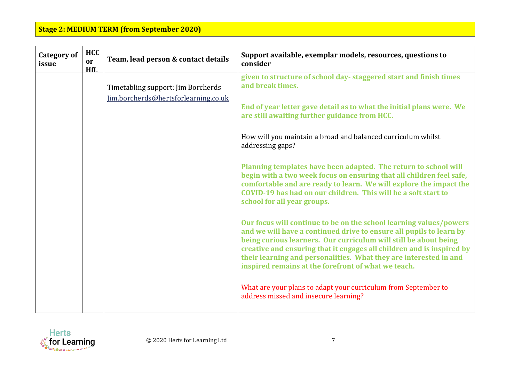| <b>Category of</b><br>issue | <b>HCC</b><br>or<br>HfL | Team, lead person & contact details                                        | Support available, exemplar models, resources, questions to<br>consider                                                                                                                                                                                                                                                                                                                                                                                                                                                                                                                                                                                                                                                                                                                                                                                                                                                                                                                                                                                                                                                                               |
|-----------------------------|-------------------------|----------------------------------------------------------------------------|-------------------------------------------------------------------------------------------------------------------------------------------------------------------------------------------------------------------------------------------------------------------------------------------------------------------------------------------------------------------------------------------------------------------------------------------------------------------------------------------------------------------------------------------------------------------------------------------------------------------------------------------------------------------------------------------------------------------------------------------------------------------------------------------------------------------------------------------------------------------------------------------------------------------------------------------------------------------------------------------------------------------------------------------------------------------------------------------------------------------------------------------------------|
|                             |                         | Timetabling support: Jim Borcherds<br>Jim.borcherds@hertsforlearning.co.uk | given to structure of school day-staggered start and finish times<br>and break times.<br>End of year letter gave detail as to what the initial plans were. We<br>are still awaiting further guidance from HCC.<br>How will you maintain a broad and balanced curriculum whilst<br>addressing gaps?<br>Planning templates have been adapted. The return to school will<br>begin with a two week focus on ensuring that all children feel safe,<br>comfortable and are ready to learn. We will explore the impact the<br>COVID-19 has had on our children. This will be a soft start to<br>school for all year groups.<br>Our focus will continue to be on the school learning values/powers<br>and we will have a continued drive to ensure all pupils to learn by<br>being curious learners. Our curriculum will still be about being<br>creative and ensuring that it engages all children and is inspired by<br>their learning and personalities. What they are interested in and<br>inspired remains at the forefront of what we teach.<br>What are your plans to adapt your curriculum from September to<br>address missed and insecure learning? |

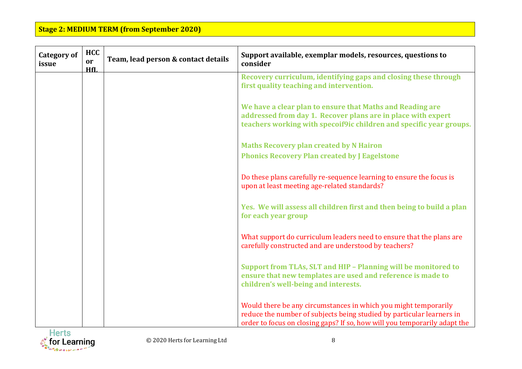| <b>Category of</b><br>issue | <b>HCC</b><br>or<br>HfL | Team, lead person & contact details | Support available, exemplar models, resources, questions to<br>consider                                                                                                                                               |
|-----------------------------|-------------------------|-------------------------------------|-----------------------------------------------------------------------------------------------------------------------------------------------------------------------------------------------------------------------|
|                             |                         |                                     | Recovery curriculum, identifying gaps and closing these through<br>first quality teaching and intervention.                                                                                                           |
|                             |                         |                                     | We have a clear plan to ensure that Maths and Reading are<br>addressed from day 1. Recover plans are in place with expert<br>teachers working with specoif9ic children and specific year groups.                      |
|                             |                         |                                     | <b>Maths Recovery plan created by N Hairon</b>                                                                                                                                                                        |
|                             |                         |                                     | <b>Phonics Recovery Plan created by J Eagelstone</b>                                                                                                                                                                  |
|                             |                         |                                     | Do these plans carefully re-sequence learning to ensure the focus is<br>upon at least meeting age-related standards?                                                                                                  |
|                             |                         |                                     | Yes. We will assess all children first and then being to build a plan<br>for each year group                                                                                                                          |
|                             |                         |                                     | What support do curriculum leaders need to ensure that the plans are<br>carefully constructed and are understood by teachers?                                                                                         |
|                             |                         |                                     | Support from TLAs, SLT and HIP - Planning will be monitored to<br>ensure that new templates are used and reference is made to<br>children's well-being and interests.                                                 |
|                             |                         |                                     | Would there be any circumstances in which you might temporarily<br>reduce the number of subjects being studied by particular learners in<br>order to focus on closing gaps? If so, how will you temporarily adapt the |

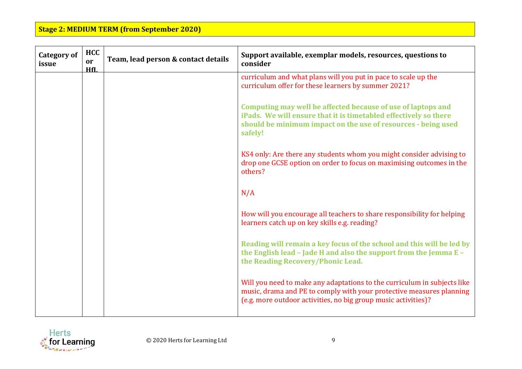| <b>Category of</b><br>issue | <b>HCC</b><br>or<br>HfL | Team, lead person & contact details | Support available, exemplar models, resources, questions to<br>consider                                                                                                                                            |
|-----------------------------|-------------------------|-------------------------------------|--------------------------------------------------------------------------------------------------------------------------------------------------------------------------------------------------------------------|
|                             |                         |                                     | curriculum and what plans will you put in pace to scale up the<br>curriculum offer for these learners by summer 2021?                                                                                              |
|                             |                         |                                     | Computing may well be affected because of use of laptops and<br>iPads. We will ensure that it is timetabled effectively so there<br>should be minimum impact on the use of resources - being used<br>safely!       |
|                             |                         |                                     | KS4 only: Are there any students whom you might consider advising to<br>drop one GCSE option on order to focus on maximising outcomes in the<br>others?                                                            |
|                             |                         |                                     | N/A                                                                                                                                                                                                                |
|                             |                         |                                     | How will you encourage all teachers to share responsibility for helping<br>learners catch up on key skills e.g. reading?                                                                                           |
|                             |                         |                                     | Reading will remain a key focus of the school and this will be led by<br>the English lead - Jade H and also the support from the Jemma E -<br>the Reading Recovery/Phonic Lead.                                    |
|                             |                         |                                     | Will you need to make any adaptations to the curriculum in subjects like<br>music, drama and PE to comply with your protective measures planning<br>(e.g. more outdoor activities, no big group music activities)? |

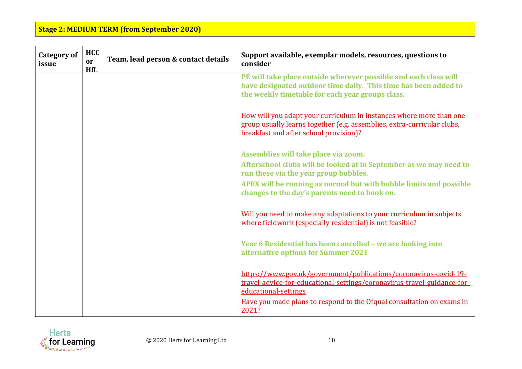| <b>Category of</b><br>issue | <b>HCC</b><br>or<br>HfL | Team, lead person & contact details | Support available, exemplar models, resources, questions to<br>consider                                                                                                                  |
|-----------------------------|-------------------------|-------------------------------------|------------------------------------------------------------------------------------------------------------------------------------------------------------------------------------------|
|                             |                         |                                     | PE will take place outside wherever possible and each class will<br>have designated outdoor time daily. This time has been added to<br>the weekly timetable for each year groups class.  |
|                             |                         |                                     | How will you adapt your curriculum in instances where more than one<br>group usually learns together (e.g. assemblies, extra-curricular clubs,<br>breakfast and after school provision)? |
|                             |                         |                                     | Assemblies will take place via zoom.                                                                                                                                                     |
|                             |                         |                                     | Afterschool clubs will be looked at in September as we may need to<br>run these via the year group bubbles.                                                                              |
|                             |                         |                                     | APEX will be running as normal but with bubble limits and possible<br>changes to the day's parents need to book on.                                                                      |
|                             |                         |                                     | Will you need to make any adaptations to your curriculum in subjects<br>where fieldwork (especially residential) is not feasible?                                                        |
|                             |                         |                                     | Year 6 Residential has been cancelled - we are looking into<br>alternative options for Summer 2021                                                                                       |
|                             |                         |                                     | https://www.gov.uk/government/publications/coronavirus-covid-19-<br>travel-advice-for-educational-settings/coronavirus-travel-guidance-for-<br>educational-settings                      |
|                             |                         |                                     | Have you made plans to respond to the Ofqual consultation on exams in<br>2021?                                                                                                           |

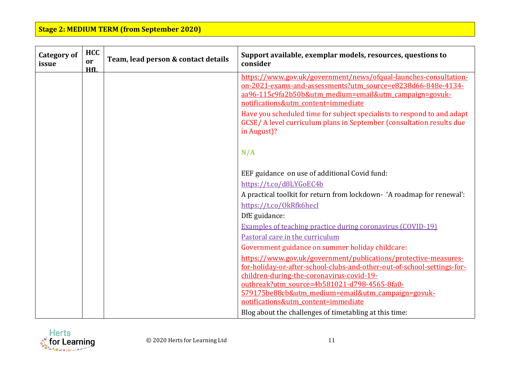| <b>Category of</b><br>issue | <b>HCC</b><br>or<br>HfI. | Team, lead person & contact details | Support available, exemplar models, resources, questions to<br>consider                                                                                                                                                                                                                                      |
|-----------------------------|--------------------------|-------------------------------------|--------------------------------------------------------------------------------------------------------------------------------------------------------------------------------------------------------------------------------------------------------------------------------------------------------------|
|                             |                          |                                     | https://www.gov.uk/government/news/ofqual-launches-consultation-<br>on-2021-exams-and-assessments?utm_source=e8238d66-848e-4134-<br>aa96-115c9fa2b50b&utm medium=email&utm campaign=govuk-<br>notifications&utm content=immediate<br>Have you scheduled time for subject specialists to respond to and adapt |
|                             |                          |                                     | GCSE/ A level curriculum plans in September (consultation results due<br>in August)?                                                                                                                                                                                                                         |
|                             |                          |                                     | N/A                                                                                                                                                                                                                                                                                                          |
|                             |                          |                                     | EEF guidance on use of additional Covid fund:                                                                                                                                                                                                                                                                |
|                             |                          |                                     | https://t.co/d8LYGoEC4b                                                                                                                                                                                                                                                                                      |
|                             |                          |                                     | A practical toolkit for return from lockdown- 'A roadmap for renewal':<br>https://t.co/0kRfk6hecI                                                                                                                                                                                                            |
|                             |                          |                                     | DfE guidance:                                                                                                                                                                                                                                                                                                |
|                             |                          |                                     | <b>Examples of teaching practice during coronavirus (COVID-19)</b>                                                                                                                                                                                                                                           |
|                             |                          |                                     | Pastoral care in the curriculum                                                                                                                                                                                                                                                                              |
|                             |                          |                                     | Government guidance on summer holiday childcare:                                                                                                                                                                                                                                                             |
|                             |                          |                                     | https://www.gov.uk/government/publications/protective-measures-                                                                                                                                                                                                                                              |
|                             |                          |                                     | for-holiday-or-after-school-clubs-and-other-out-of-school-settings-for-<br>children-during-the-coronavirus-covid-19-                                                                                                                                                                                         |
|                             |                          |                                     | outbreak?utm_source=4b581021-d798-4565-8fa0-                                                                                                                                                                                                                                                                 |
|                             |                          |                                     | 579175be88cb&utm medium=email&utm campaign=govuk-<br>notifications&utm_content=immediate                                                                                                                                                                                                                     |
|                             |                          |                                     | Blog about the challenges of timetabling at this time:                                                                                                                                                                                                                                                       |

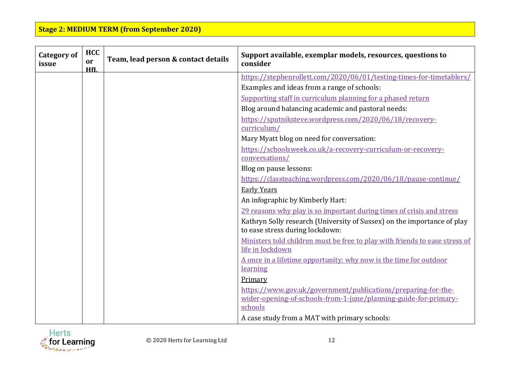| <b>Category of</b><br>issue | <b>HCC</b><br>or<br>HfI. | Team, lead person & contact details | Support available, exemplar models, resources, questions to<br>consider                                    |
|-----------------------------|--------------------------|-------------------------------------|------------------------------------------------------------------------------------------------------------|
|                             |                          |                                     | https://stephenrollett.com/2020/06/01/testing-times-for-timetablers/                                       |
|                             |                          |                                     | Examples and ideas from a range of schools:                                                                |
|                             |                          |                                     | Supporting staff in curriculum planning for a phased return                                                |
|                             |                          |                                     | Blog around balancing academic and pastoral needs:                                                         |
|                             |                          |                                     | https://sputniksteve.wordpress.com/2020/06/18/recovery-                                                    |
|                             |                          |                                     | curriculum/                                                                                                |
|                             |                          |                                     | Mary Myatt blog on need for conversation:                                                                  |
|                             |                          |                                     | https://schoolsweek.co.uk/a-recovery-curriculum-or-recovery-                                               |
|                             |                          |                                     | conversations/                                                                                             |
|                             |                          |                                     | Blog on pause lessons:                                                                                     |
|                             |                          |                                     | https://classteaching.wordpress.com/2020/06/18/pause-continue/                                             |
|                             |                          |                                     | <b>Early Years</b>                                                                                         |
|                             |                          |                                     | An infographic by Kimberly Hart:                                                                           |
|                             |                          |                                     | 29 reasons why play is so important during times of crisis and stress                                      |
|                             |                          |                                     | Kathryn Solly research (University of Sussex) on the importance of play<br>to ease stress during lockdown: |
|                             |                          |                                     | Ministers told children must be free to play with friends to ease stress of                                |
|                             |                          |                                     | life in lockdown                                                                                           |
|                             |                          |                                     | A once in a lifetime opportunity: why now is the time for outdoor                                          |
|                             |                          |                                     | learning                                                                                                   |
|                             |                          |                                     | Primary                                                                                                    |
|                             |                          |                                     | https://www.gov.uk/government/publications/preparing-for-the-                                              |
|                             |                          |                                     | wider-opening-of-schools-from-1-june/planning-guide-for-primary-<br>schools                                |
|                             |                          |                                     |                                                                                                            |
|                             |                          |                                     | A case study from a MAT with primary schools:                                                              |

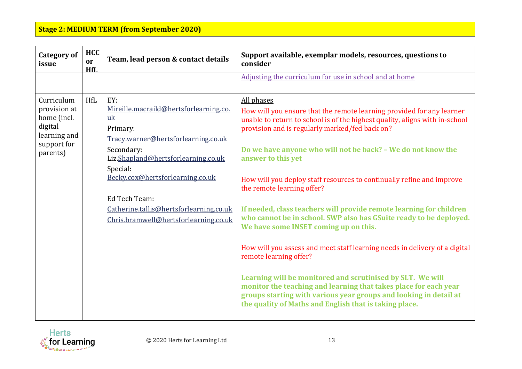| <b>Category of</b><br>issue                                                                     | <b>HCC</b><br>or<br>HfL | Team, lead person & contact details                                                                                                                                                                                                                                                                              | Support available, exemplar models, resources, questions to<br>consider                                                                                                                                                                                                                                                                                                                                                                                                                                                                                                                                                                                                                                                                                                                                                                                                                                                                                                          |
|-------------------------------------------------------------------------------------------------|-------------------------|------------------------------------------------------------------------------------------------------------------------------------------------------------------------------------------------------------------------------------------------------------------------------------------------------------------|----------------------------------------------------------------------------------------------------------------------------------------------------------------------------------------------------------------------------------------------------------------------------------------------------------------------------------------------------------------------------------------------------------------------------------------------------------------------------------------------------------------------------------------------------------------------------------------------------------------------------------------------------------------------------------------------------------------------------------------------------------------------------------------------------------------------------------------------------------------------------------------------------------------------------------------------------------------------------------|
|                                                                                                 |                         |                                                                                                                                                                                                                                                                                                                  | Adjusting the curriculum for use in school and at home                                                                                                                                                                                                                                                                                                                                                                                                                                                                                                                                                                                                                                                                                                                                                                                                                                                                                                                           |
| Curriculum<br>provision at<br>home (incl.<br>digital<br>learning and<br>support for<br>parents) | <b>HfL</b>              | EY:<br>Mireille.macraild@hertsforlearning.co.<br>uk<br>Primary:<br>Tracy.warner@hertsforlearning.co.uk<br>Secondary:<br>Liz.Shapland@hertsforlearning.co.uk<br>Special:<br>Becky.cox@hertsforlearning.co.uk<br>Ed Tech Team:<br>Catherine.tallis@hertsforlearning.co.uk<br>Chris.bramwell@hertsforlearning.co.uk | All phases<br>How will you ensure that the remote learning provided for any learner<br>unable to return to school is of the highest quality, aligns with in-school<br>provision and is regularly marked/fed back on?<br>Do we have anyone who will not be back? - We do not know the<br>answer to this yet<br>How will you deploy staff resources to continually refine and improve<br>the remote learning offer?<br>If needed, class teachers will provide remote learning for children<br>who cannot be in school. SWP also has GSuite ready to be deployed.<br>We have some INSET coming up on this.<br>How will you assess and meet staff learning needs in delivery of a digital<br>remote learning offer?<br>Learning will be monitored and scrutinised by SLT. We will<br>monitor the teaching and learning that takes place for each year<br>groups starting with various year groups and looking in detail at<br>the quality of Maths and English that is taking place. |

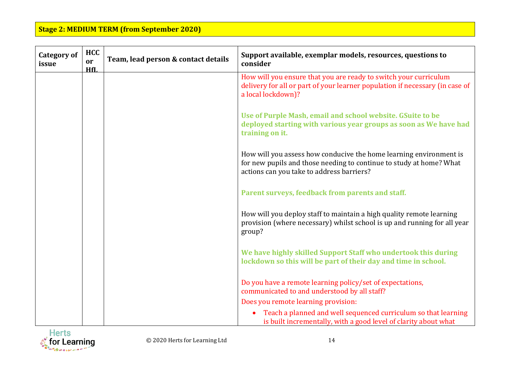| <b>Category of</b><br>issue | <b>HCC</b><br>or<br>HfL | Team, lead person & contact details | Support available, exemplar models, resources, questions to<br>consider                                                                                                                |
|-----------------------------|-------------------------|-------------------------------------|----------------------------------------------------------------------------------------------------------------------------------------------------------------------------------------|
|                             |                         |                                     | How will you ensure that you are ready to switch your curriculum<br>delivery for all or part of your learner population if necessary (in case of<br>a local lockdown)?                 |
|                             |                         |                                     | Use of Purple Mash, email and school website. GSuite to be<br>deployed starting with various year groups as soon as We have had<br>training on it.                                     |
|                             |                         |                                     | How will you assess how conducive the home learning environment is<br>for new pupils and those needing to continue to study at home? What<br>actions can you take to address barriers? |
|                             |                         |                                     | Parent surveys, feedback from parents and staff.                                                                                                                                       |
|                             |                         |                                     | How will you deploy staff to maintain a high quality remote learning<br>provision (where necessary) whilst school is up and running for all year<br>group?                             |
|                             |                         |                                     | We have highly skilled Support Staff who undertook this during<br>lockdown so this will be part of their day and time in school.                                                       |
|                             |                         |                                     | Do you have a remote learning policy/set of expectations,<br>communicated to and understood by all staff?                                                                              |
|                             |                         |                                     | Does you remote learning provision:                                                                                                                                                    |
|                             |                         |                                     | Teach a planned and well sequenced curriculum so that learning<br>is built incrementally, with a good level of clarity about what                                                      |

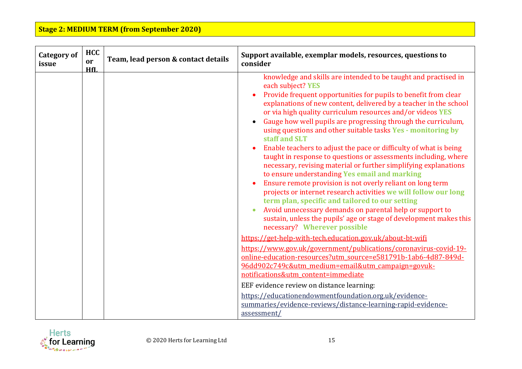| <b>Category of</b><br>issue | <b>HCC</b><br>or<br>HfL | Team, lead person & contact details | Support available, exemplar models, resources, questions to<br>consider                                                                                                                                                                                                                                                                                                                                                                                                                                                                                                                                                                                                                                                                                                                                                                                                                                                                                                                                                                                                                                                                                                                                                                                                                                                                                                                                                                                                                                                                              |
|-----------------------------|-------------------------|-------------------------------------|------------------------------------------------------------------------------------------------------------------------------------------------------------------------------------------------------------------------------------------------------------------------------------------------------------------------------------------------------------------------------------------------------------------------------------------------------------------------------------------------------------------------------------------------------------------------------------------------------------------------------------------------------------------------------------------------------------------------------------------------------------------------------------------------------------------------------------------------------------------------------------------------------------------------------------------------------------------------------------------------------------------------------------------------------------------------------------------------------------------------------------------------------------------------------------------------------------------------------------------------------------------------------------------------------------------------------------------------------------------------------------------------------------------------------------------------------------------------------------------------------------------------------------------------------|
|                             |                         |                                     | knowledge and skills are intended to be taught and practised in<br>each subject? YES<br>Provide frequent opportunities for pupils to benefit from clear<br>explanations of new content, delivered by a teacher in the school<br>or via high quality curriculum resources and/or videos YES<br>Gauge how well pupils are progressing through the curriculum,<br>using questions and other suitable tasks Yes - monitoring by<br>staff and SLT<br>Enable teachers to adjust the pace or difficulty of what is being<br>taught in response to questions or assessments including, where<br>necessary, revising material or further simplifying explanations<br>to ensure understanding Yes email and marking<br>Ensure remote provision is not overly reliant on long term<br>projects or internet research activities we will follow our long<br>term plan, specific and tailored to our setting<br>Avoid unnecessary demands on parental help or support to<br>sustain, unless the pupils' age or stage of development makes this<br>necessary? Wherever possible<br>https://get-help-with-tech.education.gov.uk/about-bt-wifi<br>https://www.gov.uk/government/publications/coronavirus-covid-19-<br>online-education-resources?utm_source=e581791b-1ab6-4d87-849d-<br>96dd902c749c&utm medium=email&utm campaign=govuk-<br>notifications&utm content=immediate<br>EEF evidence review on distance learning:<br>https://educationendowmentfoundation.org.uk/evidence-<br>summaries/evidence-reviews/distance-learning-rapid-evidence-<br>assessment/ |

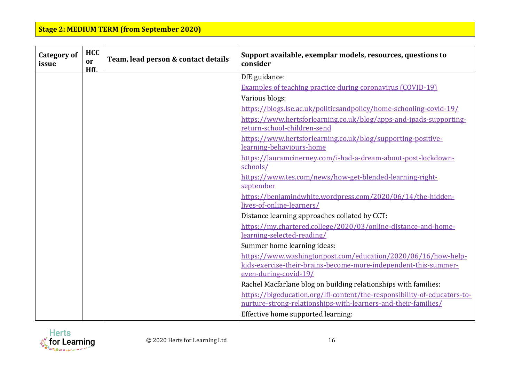| <b>Category of</b><br>issue | <b>HCC</b><br><sub>or</sub><br>HfI. | Team, lead person & contact details | Support available, exemplar models, resources, questions to<br>consider                           |
|-----------------------------|-------------------------------------|-------------------------------------|---------------------------------------------------------------------------------------------------|
|                             |                                     |                                     | DfE guidance:                                                                                     |
|                             |                                     |                                     | <b>Examples of teaching practice during coronavirus (COVID-19)</b>                                |
|                             |                                     |                                     | Various blogs:                                                                                    |
|                             |                                     |                                     | https://blogs.lse.ac.uk/politicsandpolicy/home-schooling-covid-19/                                |
|                             |                                     |                                     | https://www.hertsforlearning.co.uk/blog/apps-and-ipads-supporting-<br>return-school-children-send |
|                             |                                     |                                     | https://www.hertsforlearning.co.uk/blog/supporting-positive-<br>learning-behaviours-home          |
|                             |                                     |                                     | https://lauramcinerney.com/i-had-a-dream-about-post-lockdown-<br>schools/                         |
|                             |                                     |                                     | https://www.tes.com/news/how-get-blended-learning-right-<br>september                             |
|                             |                                     |                                     | https://benjamindwhite.wordpress.com/2020/06/14/the-hidden-<br>lives-of-online-learners/          |
|                             |                                     |                                     | Distance learning approaches collated by CCT:                                                     |
|                             |                                     |                                     | https://my.chartered.college/2020/03/online-distance-and-home-                                    |
|                             |                                     |                                     | learning-selected-reading/                                                                        |
|                             |                                     |                                     | Summer home learning ideas:                                                                       |
|                             |                                     |                                     | https://www.washingtonpost.com/education/2020/06/16/how-help-                                     |
|                             |                                     |                                     | kids-exercise-their-brains-become-more-independent-this-summer-<br>even-during-covid-19/          |
|                             |                                     |                                     | Rachel Macfarlane blog on building relationships with families:                                   |
|                             |                                     |                                     | https://bigeducation.org/lfl-content/the-responsibility-of-educators-to-                          |
|                             |                                     |                                     | nurture-strong-relationships-with-learners-and-their-families/                                    |
|                             |                                     |                                     | Effective home supported learning:                                                                |

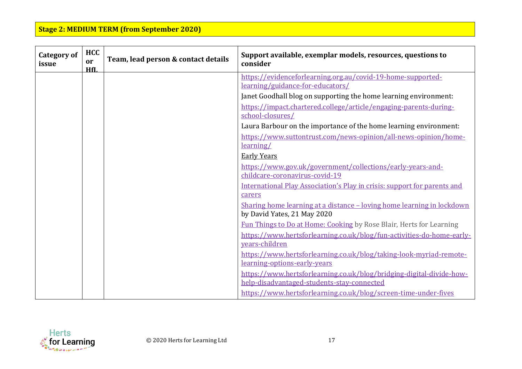| <b>Category of</b><br>issue | <b>HCC</b><br><sub>or</sub><br>HfL | Team, lead person & contact details | Support available, exemplar models, resources, questions to<br>consider                                            |
|-----------------------------|------------------------------------|-------------------------------------|--------------------------------------------------------------------------------------------------------------------|
|                             |                                    |                                     | https://evidenceforlearning.org.au/covid-19-home-supported-<br>learning/guidance-for-educators/                    |
|                             |                                    |                                     | Janet Goodhall blog on supporting the home learning environment:                                                   |
|                             |                                    |                                     | https://impact.chartered.college/article/engaging-parents-during-<br>school-closures/                              |
|                             |                                    |                                     | Laura Barbour on the importance of the home learning environment:                                                  |
|                             |                                    |                                     | https://www.suttontrust.com/news-opinion/all-news-opinion/home-<br>learning/                                       |
|                             |                                    |                                     | <b>Early Years</b>                                                                                                 |
|                             |                                    |                                     | https://www.gov.uk/government/collections/early-years-and-<br>childcare-coronavirus-covid-19                       |
|                             |                                    |                                     | International Play Association's Play in crisis: support for parents and<br>carers                                 |
|                             |                                    |                                     | Sharing home learning at a distance – loving home learning in lockdown<br>by David Yates, 21 May 2020              |
|                             |                                    |                                     | Fun Things to Do at Home: Cooking by Rose Blair, Herts for Learning                                                |
|                             |                                    |                                     | https://www.hertsforlearning.co.uk/blog/fun-activities-do-home-early-<br>years-children                            |
|                             |                                    |                                     | https://www.hertsforlearning.co.uk/blog/taking-look-myriad-remote-<br>learning-options-early-years                 |
|                             |                                    |                                     | https://www.hertsforlearning.co.uk/blog/bridging-digital-divide-how-<br>help-disadvantaged-students-stay-connected |
|                             |                                    |                                     | https://www.hertsforlearning.co.uk/blog/screen-time-under-fives                                                    |

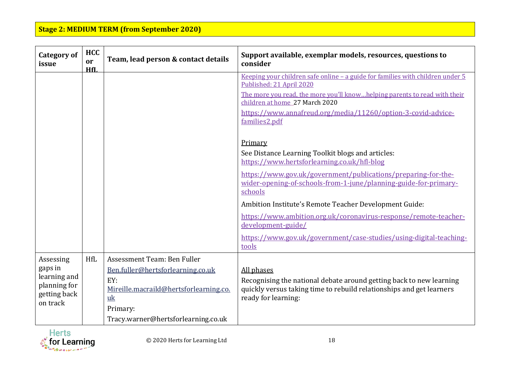| <b>Category of</b><br>issue                                                      | <b>HCC</b><br>or<br>HfL | Team, lead person & contact details                                                                                                                                        | Support available, exemplar models, resources, questions to<br>consider                                                                                                                                                                                                                          |
|----------------------------------------------------------------------------------|-------------------------|----------------------------------------------------------------------------------------------------------------------------------------------------------------------------|--------------------------------------------------------------------------------------------------------------------------------------------------------------------------------------------------------------------------------------------------------------------------------------------------|
|                                                                                  |                         |                                                                                                                                                                            | <u>Keeping vour children safe online – a guide for families with children under 5</u><br>Published: 21 April 2020<br>The more you read, the more you'll knowhelping parents to read with their<br>children at home_27 March 2020<br>https://www.annafreud.org/media/11260/option-3-covid-advice- |
|                                                                                  |                         |                                                                                                                                                                            | families2.pdf<br>Primary<br>See Distance Learning Toolkit blogs and articles:<br>https://www.hertsforlearning.co.uk/hfl-blog<br>https://www.gov.uk/government/publications/preparing-for-the-<br>wider-opening-of-schools-from-1-june/planning-guide-for-primary-<br>schools                     |
|                                                                                  |                         |                                                                                                                                                                            | Ambition Institute's Remote Teacher Development Guide:<br>https://www.ambition.org.uk/coronavirus-response/remote-teacher-<br>development-guide/<br>https://www.gov.uk/government/case-studies/using-digital-teaching-<br>tools                                                                  |
| Assessing<br>gaps in<br>learning and<br>planning for<br>getting back<br>on track | HfL                     | Assessment Team: Ben Fuller<br>Ben.fuller@hertsforlearning.co.uk<br>EY:<br>Mireille.macraild@hertsforlearning.co.<br>uk<br>Primary:<br>Tracy.warner@hertsforlearning.co.uk | All phases<br>Recognising the national debate around getting back to new learning<br>quickly versus taking time to rebuild relationships and get learners<br>ready for learning:                                                                                                                 |

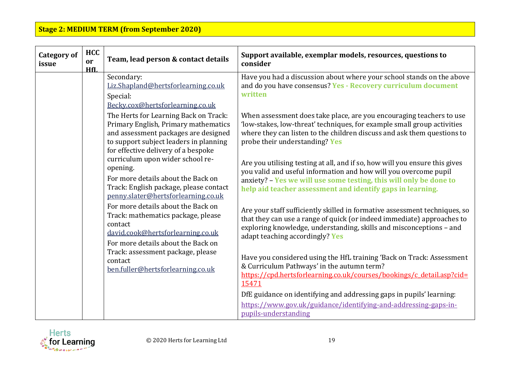| <b>Category of</b><br>issue | <b>HCC</b><br><sub>or</sub><br>HfL | Team, lead person & contact details                                                                                                                                                                    | Support available, exemplar models, resources, questions to<br>consider                                                                                                                                                                                                             |
|-----------------------------|------------------------------------|--------------------------------------------------------------------------------------------------------------------------------------------------------------------------------------------------------|-------------------------------------------------------------------------------------------------------------------------------------------------------------------------------------------------------------------------------------------------------------------------------------|
|                             |                                    | Secondary:<br>Liz.Shapland@hertsforlearning.co.uk<br>Special:<br>Becky.cox@hertsforlearning.co.uk                                                                                                      | Have you had a discussion about where your school stands on the above<br>and do you have consensus? Yes - Recovery curriculum document<br>written                                                                                                                                   |
|                             |                                    | The Herts for Learning Back on Track:<br>Primary English, Primary mathematics<br>and assessment packages are designed<br>to support subject leaders in planning<br>for effective delivery of a bespoke | When assessment does take place, are you encouraging teachers to use<br>'low-stakes, low-threat' techniques, for example small group activities<br>where they can listen to the children discuss and ask them questions to<br>probe their understanding? Yes                        |
|                             |                                    | curriculum upon wider school re-<br>opening.<br>For more details about the Back on<br>Track: English package, please contact<br>penny.slater@hertsforlearning.co.uk                                    | Are you utilising testing at all, and if so, how will you ensure this gives<br>you valid and useful information and how will you overcome pupil<br>anxiety? - Yes we will use some testing, this will only be done to<br>help aid teacher assessment and identify gaps in learning. |
|                             |                                    | For more details about the Back on<br>Track: mathematics package, please<br>contact<br>david.cook@hertsforlearning.co.uk<br>For more details about the Back on                                         | Are your staff sufficiently skilled in formative assessment techniques, so<br>that they can use a range of quick (or indeed immediate) approaches to<br>exploring knowledge, understanding, skills and misconceptions - and<br>adapt teaching accordingly? Yes                      |
|                             |                                    | Track: assessment package, please<br>contact<br>ben.fuller@hertsforlearning.co.uk                                                                                                                      | Have you considered using the HfL training 'Back on Track: Assessment<br>& Curriculum Pathways' in the autumn term?<br>https://cpd.hertsforlearning.co.uk/courses/bookings/c detail.asp?cid=<br>15471                                                                               |
|                             |                                    |                                                                                                                                                                                                        | DfE guidance on identifying and addressing gaps in pupils' learning:<br>https://www.gov.uk/guidance/identifying-and-addressing-gaps-in-<br>pupils-understanding                                                                                                                     |

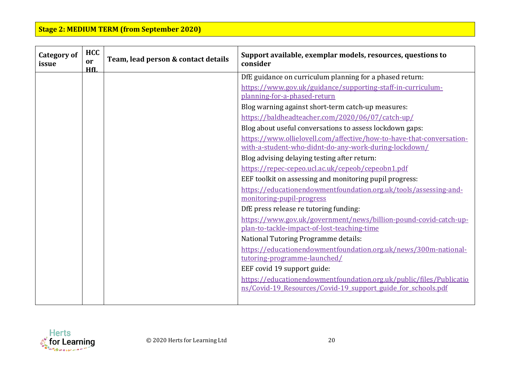| <b>Category of</b><br>issue | <b>HCC</b><br><sub>or</sub><br>HfL | Team, lead person & contact details | Support available, exemplar models, resources, questions to<br>consider                     |
|-----------------------------|------------------------------------|-------------------------------------|---------------------------------------------------------------------------------------------|
|                             |                                    |                                     | DfE guidance on curriculum planning for a phased return:                                    |
|                             |                                    |                                     | https://www.gov.uk/guidance/supporting-staff-in-curriculum-<br>planning-for-a-phased-return |
|                             |                                    |                                     | Blog warning against short-term catch-up measures:                                          |
|                             |                                    |                                     | https://baldheadteacher.com/2020/06/07/catch-up/                                            |
|                             |                                    |                                     | Blog about useful conversations to assess lockdown gaps:                                    |
|                             |                                    |                                     | https://www.ollielovell.com/affective/how-to-have-that-conversation-                        |
|                             |                                    |                                     | with-a-student-who-didnt-do-any-work-during-lockdown/                                       |
|                             |                                    |                                     | Blog advising delaying testing after return:                                                |
|                             |                                    |                                     | https://repec-cepeo.ucl.ac.uk/cepeob/cepeobn1.pdf                                           |
|                             |                                    |                                     | EEF toolkit on assessing and monitoring pupil progress:                                     |
|                             |                                    |                                     | https://educationendowmentfoundation.org.uk/tools/assessing-and-                            |
|                             |                                    |                                     | monitoring-pupil-progress                                                                   |
|                             |                                    |                                     | DfE press release re tutoring funding:                                                      |
|                             |                                    |                                     | https://www.gov.uk/government/news/billion-pound-covid-catch-up-                            |
|                             |                                    |                                     | plan-to-tackle-impact-of-lost-teaching-time                                                 |
|                             |                                    |                                     | National Tutoring Programme details:                                                        |
|                             |                                    |                                     | https://educationendowmentfoundation.org.uk/news/300m-national-                             |
|                             |                                    |                                     | tutoring-programme-launched/                                                                |
|                             |                                    |                                     | EEF covid 19 support guide:                                                                 |
|                             |                                    |                                     | https://educationendowmentfoundation.org.uk/public/files/Publicatio                         |
|                             |                                    |                                     | ns/Covid-19_Resources/Covid-19_support_guide_for_schools.pdf                                |
|                             |                                    |                                     |                                                                                             |

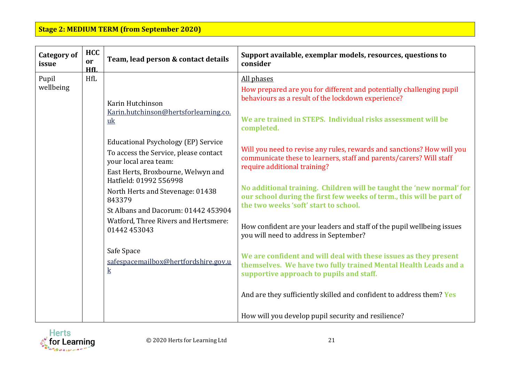| <b>Category of</b><br>issue | <b>HCC</b><br>or<br>HfL | Team, lead person & contact details                                                                                                                                                                                                                                                                                                                                                                                                         | Support available, exemplar models, resources, questions to<br>consider                                                                                                                                                                                                                                                                                                                                                                                                                                                                                                                                                                                                                                                                                                                                                                                     |
|-----------------------------|-------------------------|---------------------------------------------------------------------------------------------------------------------------------------------------------------------------------------------------------------------------------------------------------------------------------------------------------------------------------------------------------------------------------------------------------------------------------------------|-------------------------------------------------------------------------------------------------------------------------------------------------------------------------------------------------------------------------------------------------------------------------------------------------------------------------------------------------------------------------------------------------------------------------------------------------------------------------------------------------------------------------------------------------------------------------------------------------------------------------------------------------------------------------------------------------------------------------------------------------------------------------------------------------------------------------------------------------------------|
| Pupil<br>wellbeing          | HfL                     | Karin Hutchinson<br>Karin.hutchinson@hertsforlearning.co.<br>uk<br>Educational Psychology (EP) Service<br>To access the Service, please contact<br>your local area team:<br>East Herts, Broxbourne, Welwyn and<br>Hatfield: 01992 556998<br>North Herts and Stevenage: 01438<br>843379<br>St Albans and Dacorum: 01442 453904<br>Watford, Three Rivers and Hertsmere:<br>01442 453043<br>Safe Space<br>safespacemailbox@hertfordshire.gov.u | All phases<br>How prepared are you for different and potentially challenging pupil<br>behaviours as a result of the lockdown experience?<br>We are trained in STEPS. Individual risks assessment will be<br>completed.<br>Will you need to revise any rules, rewards and sanctions? How will you<br>communicate these to learners, staff and parents/carers? Will staff<br>require additional training?<br>No additional training. Children will be taught the 'new normal' for<br>our school during the first few weeks of term., this will be part of<br>the two weeks 'soft' start to school.<br>How confident are your leaders and staff of the pupil wellbeing issues<br>you will need to address in September?<br>We are confident and will deal with these issues as they present<br>themselves. We have two fully trained Mental Health Leads and a |
|                             |                         | $\bf k$                                                                                                                                                                                                                                                                                                                                                                                                                                     | supportive approach to pupils and staff.<br>And are they sufficiently skilled and confident to address them? Yes<br>How will you develop pupil security and resilience?                                                                                                                                                                                                                                                                                                                                                                                                                                                                                                                                                                                                                                                                                     |

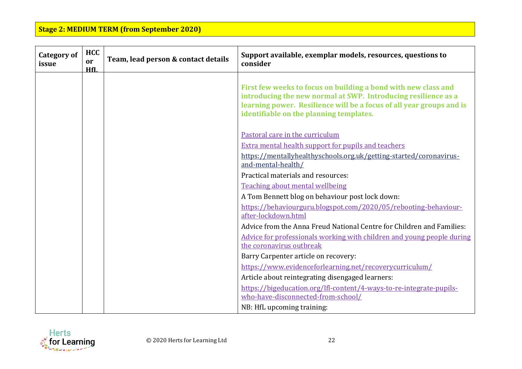| <b>Category of</b><br>issue | <b>HCC</b><br><sub>or</sub><br>HfL | Team, lead person & contact details | Support available, exemplar models, resources, questions to<br>consider                                                                                                                                                                             |
|-----------------------------|------------------------------------|-------------------------------------|-----------------------------------------------------------------------------------------------------------------------------------------------------------------------------------------------------------------------------------------------------|
|                             |                                    |                                     | First few weeks to focus on building a bond with new class and<br>introducing the new normal at SWP. Introducing resilience as a<br>learning power. Resilience will be a focus of all year groups and is<br>identifiable on the planning templates. |
|                             |                                    |                                     | Pastoral care in the curriculum                                                                                                                                                                                                                     |
|                             |                                    |                                     | <b>Extra mental health support for pupils and teachers</b>                                                                                                                                                                                          |
|                             |                                    |                                     | https://mentallyhealthyschools.org.uk/getting-started/coronavirus-<br>and-mental-health/                                                                                                                                                            |
|                             |                                    |                                     | Practical materials and resources:                                                                                                                                                                                                                  |
|                             |                                    |                                     | Teaching about mental wellbeing                                                                                                                                                                                                                     |
|                             |                                    |                                     | A Tom Bennett blog on behaviour post lock down:                                                                                                                                                                                                     |
|                             |                                    |                                     | https://behaviourguru.blogspot.com/2020/05/rebooting-behaviour-<br>after-lockdown.html                                                                                                                                                              |
|                             |                                    |                                     | Advice from the Anna Freud National Centre for Children and Families:                                                                                                                                                                               |
|                             |                                    |                                     | Advice for professionals working with children and young people during                                                                                                                                                                              |
|                             |                                    |                                     | the coronavirus outbreak                                                                                                                                                                                                                            |
|                             |                                    |                                     | Barry Carpenter article on recovery:                                                                                                                                                                                                                |
|                             |                                    |                                     | https://www.evidenceforlearning.net/recoverycurriculum/                                                                                                                                                                                             |
|                             |                                    |                                     | Article about reintegrating disengaged learners:                                                                                                                                                                                                    |
|                             |                                    |                                     | https://bigeducation.org/lfl-content/4-ways-to-re-integrate-pupils-<br>who-have-disconnected-from-school/                                                                                                                                           |
|                             |                                    |                                     | NB: HfL upcoming training:                                                                                                                                                                                                                          |

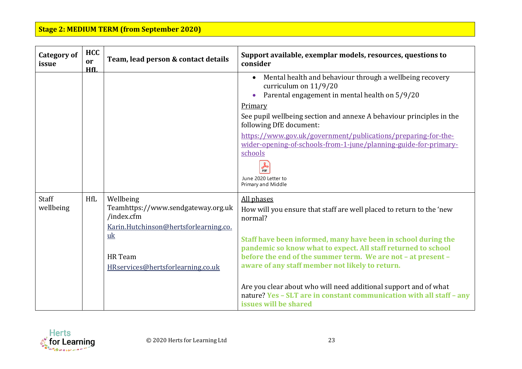| <b>Category of</b><br>issue | <b>HCC</b><br>or<br>HfL | Team, lead person & contact details                                                                                                                          | Support available, exemplar models, resources, questions to<br>consider                                                                                                                                                                                                                                                                                                                                                                                                                                                 |
|-----------------------------|-------------------------|--------------------------------------------------------------------------------------------------------------------------------------------------------------|-------------------------------------------------------------------------------------------------------------------------------------------------------------------------------------------------------------------------------------------------------------------------------------------------------------------------------------------------------------------------------------------------------------------------------------------------------------------------------------------------------------------------|
|                             |                         |                                                                                                                                                              | Mental health and behaviour through a wellbeing recovery<br>curriculum on 11/9/20<br>Parental engagement in mental health on 5/9/20<br>Primary<br>See pupil wellbeing section and annexe A behaviour principles in the<br>following DfE document:<br>https://www.gov.uk/government/publications/preparing-for-the-<br>wider-opening-of-schools-from-1-june/planning-guide-for-primary-<br>schools<br><b>DDF</b><br>June 2020 Letter to<br>Primary and Middle                                                            |
| Staff<br>wellbeing          | HfL                     | Wellbeing<br>Teamhttps://www.sendgateway.org.uk<br>/index.cfm<br>Karin.Hutchinson@hertsforlearning.co.<br>uk<br>HR Team<br>HRservices@hertsforlearning.co.uk | All phases<br>How will you ensure that staff are well placed to return to the 'new<br>normal?<br>Staff have been informed, many have been in school during the<br>pandemic so know what to expect. All staff returned to school<br>before the end of the summer term. We are not - at present -<br>aware of any staff member not likely to return.<br>Are you clear about who will need additional support and of what<br>nature? Yes - SLT are in constant communication with all staff - any<br>issues will be shared |

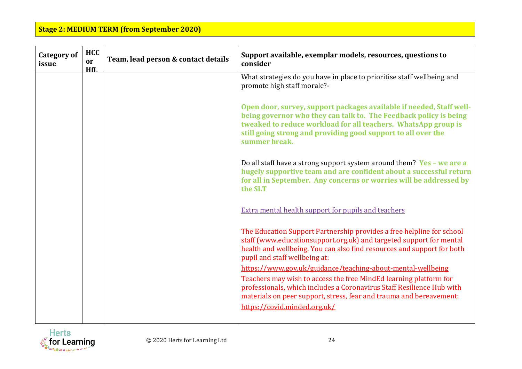| <b>Category of</b><br>issue | <b>HCC</b><br><sub>or</sub><br>HfI. | Team, lead person & contact details | Support available, exemplar models, resources, questions to<br>consider                                                                                                                                                                                                                       |
|-----------------------------|-------------------------------------|-------------------------------------|-----------------------------------------------------------------------------------------------------------------------------------------------------------------------------------------------------------------------------------------------------------------------------------------------|
|                             |                                     |                                     | What strategies do you have in place to prioritise staff wellbeing and<br>promote high staff morale?-                                                                                                                                                                                         |
|                             |                                     |                                     | Open door, survey, support packages available if needed, Staff well-<br>being governor who they can talk to. The Feedback policy is being<br>tweaked to reduce workload for all teachers. WhatsApp group is<br>still going strong and providing good support to all over the<br>summer break. |
|                             |                                     |                                     | Do all staff have a strong support system around them? Yes - we are a<br>hugely supportive team and are confident about a successful return<br>for all in September. Any concerns or worries will be addressed by<br>the SLT                                                                  |
|                             |                                     |                                     | Extra mental health support for pupils and teachers                                                                                                                                                                                                                                           |
|                             |                                     |                                     | The Education Support Partnership provides a free helpline for school<br>staff (www.educationsupport.org.uk) and targeted support for mental<br>health and wellbeing. You can also find resources and support for both<br>pupil and staff wellbeing at:                                       |
|                             |                                     |                                     | https://www.gov.uk/guidance/teaching-about-mental-wellbeing                                                                                                                                                                                                                                   |
|                             |                                     |                                     | Teachers may wish to access the free MindEd learning platform for<br>professionals, which includes a Coronavirus Staff Resilience Hub with<br>materials on peer support, stress, fear and trauma and bereavement:                                                                             |
|                             |                                     |                                     | https://covid.minded.org.uk/                                                                                                                                                                                                                                                                  |

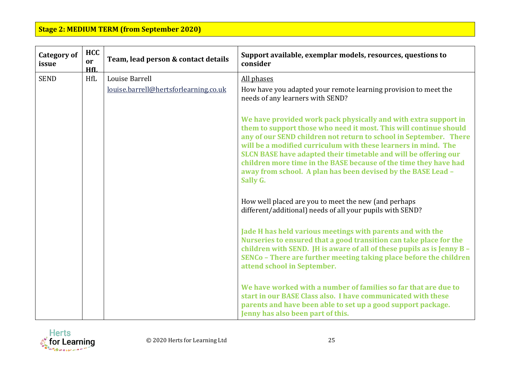| <b>Category of</b><br>issue | <b>HCC</b><br>or<br>HfI. | Team, lead person & contact details   | Support available, exemplar models, resources, questions to<br>consider                                                                                                                                                                                                                                                                                                                                                                                                                        |
|-----------------------------|--------------------------|---------------------------------------|------------------------------------------------------------------------------------------------------------------------------------------------------------------------------------------------------------------------------------------------------------------------------------------------------------------------------------------------------------------------------------------------------------------------------------------------------------------------------------------------|
| <b>SEND</b>                 | <b>HfL</b>               | Louise Barrell                        | All phases                                                                                                                                                                                                                                                                                                                                                                                                                                                                                     |
|                             |                          | louise.barrell@hertsforlearning.co.uk | How have you adapted your remote learning provision to meet the<br>needs of any learners with SEND?                                                                                                                                                                                                                                                                                                                                                                                            |
|                             |                          |                                       | We have provided work pack physically and with extra support in<br>them to support those who need it most. This will continue should<br>any of our SEND children not return to school in September. There<br>will be a modified curriculum with these learners in mind. The<br>SLCN BASE have adapted their timetable and will be offering our<br>children more time in the BASE because of the time they have had<br>away from school. A plan has been devised by the BASE Lead -<br>Sally G. |
|                             |                          |                                       | How well placed are you to meet the new (and perhaps<br>different/additional) needs of all your pupils with SEND?                                                                                                                                                                                                                                                                                                                                                                              |
|                             |                          |                                       | Jade H has held various meetings with parents and with the<br>Nurseries to ensured that a good transition can take place for the<br>children with SEND. JH is aware of all of these pupils as is Jenny B -<br>SENCo - There are further meeting taking place before the children<br>attend school in September.                                                                                                                                                                                |
|                             |                          |                                       | We have worked with a number of families so far that are due to<br>start in our BASE Class also. I have communicated with these<br>parents and have been able to set up a good support package.<br>Jenny has also been part of this.                                                                                                                                                                                                                                                           |

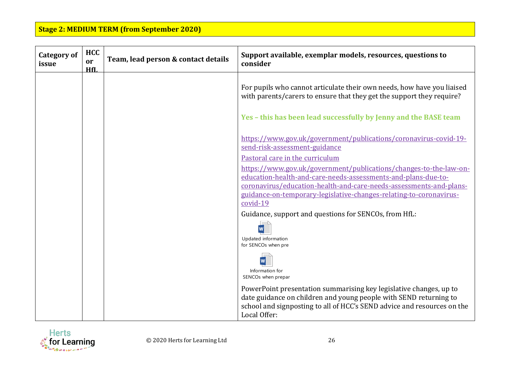| <b>Category of</b><br>issue | <b>HCC</b><br>or<br>HfI. | Team, lead person & contact details | Support available, exemplar models, resources, questions to<br>consider                                                                                                                                                            |
|-----------------------------|--------------------------|-------------------------------------|------------------------------------------------------------------------------------------------------------------------------------------------------------------------------------------------------------------------------------|
|                             |                          |                                     | For pupils who cannot articulate their own needs, how have you liaised<br>with parents/carers to ensure that they get the support they require?<br>Yes - this has been lead successfully by Jenny and the BASE team                |
|                             |                          |                                     | https://www.gov.uk/government/publications/coronavirus-covid-19-<br>send-risk-assessment-guidance<br>Pastoral care in the curriculum<br>https://www.gov.uk/government/publications/changes-to-the-law-on-                          |
|                             |                          |                                     | education-health-and-care-needs-assessments-and-plans-due-to-<br>coronavirus/education-health-and-care-needs-assessments-and-plans-<br>guidance-on-temporary-legislative-changes-relating-to-coronavirus-<br>covid-19              |
|                             |                          |                                     | Guidance, support and questions for SENCOs, from HfL:<br>Updated information<br>for SENCOs when pre                                                                                                                                |
|                             |                          |                                     | Information for<br>SENCOs when prepar                                                                                                                                                                                              |
|                             |                          |                                     | PowerPoint presentation summarising key legislative changes, up to<br>date guidance on children and young people with SEND returning to<br>school and signposting to all of HCC's SEND advice and resources on the<br>Local Offer: |

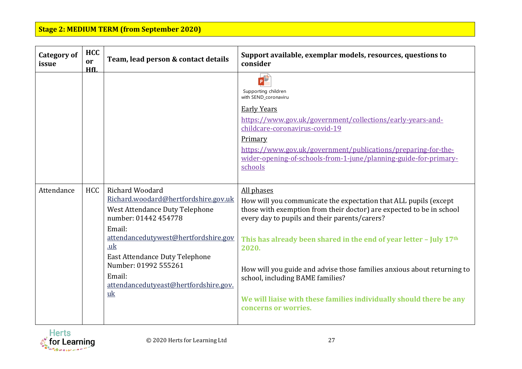| <b>Category of</b><br>issue | <b>HCC</b><br>or<br>HfI. | Team, lead person & contact details                                                                                                                                                                                                                                                           | Support available, exemplar models, resources, questions to<br>consider                                                                                                                                                                                                                                                                                                                                                                                                                              |
|-----------------------------|--------------------------|-----------------------------------------------------------------------------------------------------------------------------------------------------------------------------------------------------------------------------------------------------------------------------------------------|------------------------------------------------------------------------------------------------------------------------------------------------------------------------------------------------------------------------------------------------------------------------------------------------------------------------------------------------------------------------------------------------------------------------------------------------------------------------------------------------------|
|                             |                          |                                                                                                                                                                                                                                                                                               | P<br>Supporting children<br>with SEND_coronaviru<br><b>Early Years</b><br>https://www.gov.uk/government/collections/early-years-and-<br>childcare-coronavirus-covid-19<br>Primary<br>https://www.gov.uk/government/publications/preparing-for-the-<br>wider-opening-of-schools-from-1-june/planning-guide-for-primary-<br>schools                                                                                                                                                                    |
| Attendance                  | <b>HCC</b>               | Richard Woodard<br>Richard.woodard@hertfordshire.gov.uk<br>West Attendance Duty Telephone<br>number: 01442 454778<br>Email:<br>attendancedutywest@hertfordshire.gov<br>.uk<br>East Attendance Duty Telephone<br>Number: 01992 555261<br>Email:<br>attendancedutyeast@hertfordshire.gov.<br>uk | All phases<br>How will you communicate the expectation that ALL pupils (except<br>those with exemption from their doctor) are expected to be in school<br>every day to pupils and their parents/carers?<br>This has already been shared in the end of year letter - July 17th<br>2020.<br>How will you guide and advise those families anxious about returning to<br>school, including BAME families?<br>We will liaise with these families individually should there be any<br>concerns or worries. |

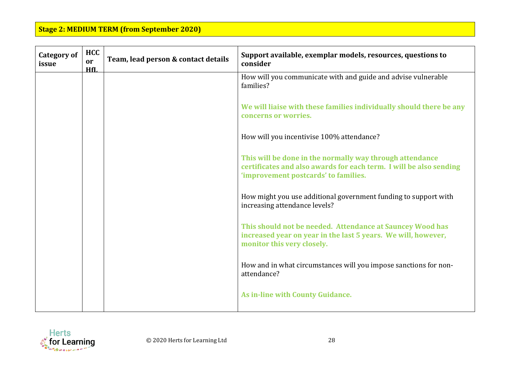| <b>Category of</b><br>issue | <b>HCC</b><br>or<br>HfI. | Team, lead person & contact details | Support available, exemplar models, resources, questions to<br>consider                                                                                                |
|-----------------------------|--------------------------|-------------------------------------|------------------------------------------------------------------------------------------------------------------------------------------------------------------------|
|                             |                          |                                     | How will you communicate with and guide and advise vulnerable<br>families?                                                                                             |
|                             |                          |                                     | We will liaise with these families individually should there be any<br>concerns or worries.                                                                            |
|                             |                          |                                     | How will you incentivise 100% attendance?                                                                                                                              |
|                             |                          |                                     | This will be done in the normally way through attendance<br>certificates and also awards for each term. I will be also sending<br>'improvement postcards' to families. |
|                             |                          |                                     | How might you use additional government funding to support with<br>increasing attendance levels?                                                                       |
|                             |                          |                                     | This should not be needed. Attendance at Sauncey Wood has<br>increased year on year in the last 5 years. We will, however,<br>monitor this very closely.               |
|                             |                          |                                     | How and in what circumstances will you impose sanctions for non-<br>attendance?                                                                                        |
|                             |                          |                                     | As in-line with County Guidance.                                                                                                                                       |

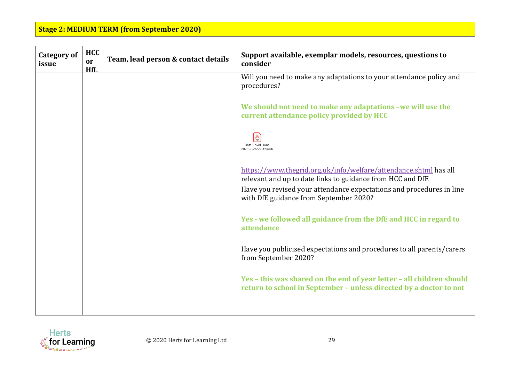| <b>Category of</b><br>issue | <b>HCC</b><br>or<br>HfI. | Team, lead person & contact details | Support available, exemplar models, resources, questions to<br>consider                                                                     |
|-----------------------------|--------------------------|-------------------------------------|---------------------------------------------------------------------------------------------------------------------------------------------|
|                             |                          |                                     | Will you need to make any adaptations to your attendance policy and<br>procedures?                                                          |
|                             |                          |                                     | We should not need to make any adaptations -we will use the<br>current attendance policy provided by HCC                                    |
|                             |                          |                                     | $\frac{1}{\pi}$<br>Data Covid June<br>2020 - School Attenda                                                                                 |
|                             |                          |                                     | https://www.thegrid.org.uk/info/welfare/attendance.shtml has all<br>relevant and up to date links to guidance from HCC and DfE              |
|                             |                          |                                     | Have you revised your attendance expectations and procedures in line<br>with DfE guidance from September 2020?                              |
|                             |                          |                                     | Yes - we followed all guidance from the DfE and HCC in regard to<br>attendance                                                              |
|                             |                          |                                     | Have you publicised expectations and procedures to all parents/carers<br>from September 2020?                                               |
|                             |                          |                                     | Yes - this was shared on the end of year letter - all children should<br>return to school in September - unless directed by a doctor to not |
|                             |                          |                                     |                                                                                                                                             |

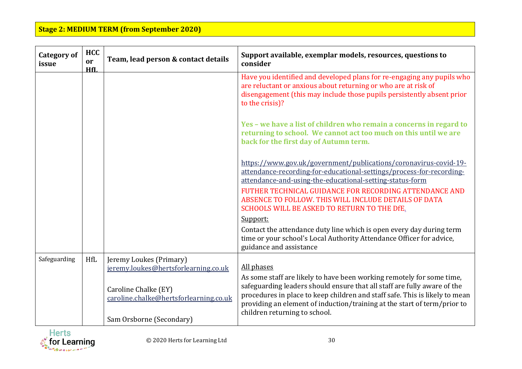| <b>Category of</b><br>issue | <b>HCC</b><br>or<br>HfL | Team, lead person & contact details                                                                                                                           | Support available, exemplar models, resources, questions to<br>consider                                                                                                                                                                                                                                                                                                           |
|-----------------------------|-------------------------|---------------------------------------------------------------------------------------------------------------------------------------------------------------|-----------------------------------------------------------------------------------------------------------------------------------------------------------------------------------------------------------------------------------------------------------------------------------------------------------------------------------------------------------------------------------|
|                             |                         |                                                                                                                                                               | Have you identified and developed plans for re-engaging any pupils who<br>are reluctant or anxious about returning or who are at risk of<br>disengagement (this may include those pupils persistently absent prior<br>to the crisis)?                                                                                                                                             |
|                             |                         |                                                                                                                                                               | Yes - we have a list of children who remain a concerns in regard to<br>returning to school. We cannot act too much on this until we are<br>back for the first day of Autumn term.                                                                                                                                                                                                 |
|                             |                         |                                                                                                                                                               | https://www.gov.uk/government/publications/coronavirus-covid-19-<br>attendance-recording-for-educational-settings/process-for-recording-<br>attendance-and-using-the-educational-setting-status-form<br>FUTHER TECHNICAL GUIDANCE FOR RECORDING ATTENDANCE AND<br>ABSENCE TO FOLLOW. THIS WILL INCLUDE DETAILS OF DATA<br>SCHOOLS WILL BE ASKED TO RETURN TO THE DfE.<br>Support: |
|                             |                         |                                                                                                                                                               | Contact the attendance duty line which is open every day during term<br>time or your school's Local Authority Attendance Officer for advice,<br>guidance and assistance                                                                                                                                                                                                           |
| Safeguarding                | <b>HfL</b>              | Jeremy Loukes (Primary)<br>jeremy.loukes@hertsforlearning.co.uk<br>Caroline Chalke (EY)<br>caroline.chalke@hertsforlearning.co.uk<br>Sam Orsborne (Secondary) | All phases<br>As some staff are likely to have been working remotely for some time,<br>safeguarding leaders should ensure that all staff are fully aware of the<br>procedures in place to keep children and staff safe. This is likely to mean<br>providing an element of induction/training at the start of term/prior to<br>children returning to school.                       |

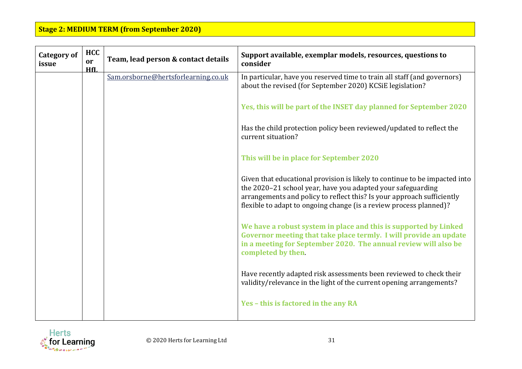| <b>Category of</b><br>issue | <b>HCC</b><br>or<br>HfL | Team, lead person & contact details | Support available, exemplar models, resources, questions to<br>consider                                                                                                                                                                                                                   |
|-----------------------------|-------------------------|-------------------------------------|-------------------------------------------------------------------------------------------------------------------------------------------------------------------------------------------------------------------------------------------------------------------------------------------|
|                             |                         | Sam.orsborne@hertsforlearning.co.uk | In particular, have you reserved time to train all staff (and governors)<br>about the revised (for September 2020) KCSiE legislation?                                                                                                                                                     |
|                             |                         |                                     | Yes, this will be part of the INSET day planned for September 2020                                                                                                                                                                                                                        |
|                             |                         |                                     | Has the child protection policy been reviewed/updated to reflect the<br>current situation?                                                                                                                                                                                                |
|                             |                         |                                     | This will be in place for September 2020                                                                                                                                                                                                                                                  |
|                             |                         |                                     | Given that educational provision is likely to continue to be impacted into<br>the 2020-21 school year, have you adapted your safeguarding<br>arrangements and policy to reflect this? Is your approach sufficiently<br>flexible to adapt to ongoing change (is a review process planned)? |
|                             |                         |                                     | We have a robust system in place and this is supported by Linked<br>Governor meeting that take place termly. I will provide an update<br>in a meeting for September 2020. The annual review will also be<br>completed by then.                                                            |
|                             |                         |                                     | Have recently adapted risk assessments been reviewed to check their<br>validity/relevance in the light of the current opening arrangements?                                                                                                                                               |
|                             |                         |                                     | Yes - this is factored in the any RA                                                                                                                                                                                                                                                      |

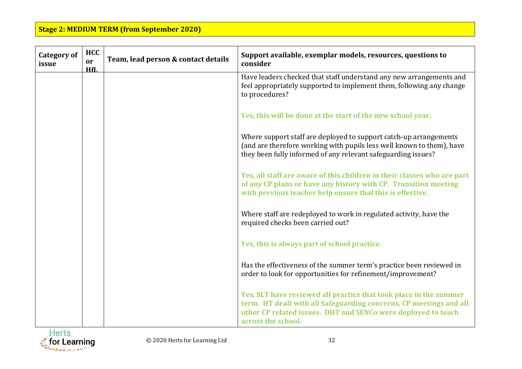| <b>Category of</b><br>issue | <b>HCC</b><br>or<br>HfL | Team, lead person & contact details | Support available, exemplar models, resources, questions to<br>consider                                                                                                                                                        |
|-----------------------------|-------------------------|-------------------------------------|--------------------------------------------------------------------------------------------------------------------------------------------------------------------------------------------------------------------------------|
|                             |                         |                                     | Have leaders checked that staff understand any new arrangements and<br>feel appropriately supported to implement them, following any change<br>to procedures?                                                                  |
|                             |                         |                                     | Yes, this will be done at the start of the new school year.                                                                                                                                                                    |
|                             |                         |                                     | Where support staff are deployed to support catch-up arrangements<br>(and are therefore working with pupils less well known to them), have<br>they been fully informed of any relevant safeguarding issues?                    |
|                             |                         |                                     | Yes, all staff are aware of this children in their classes who are part<br>of any CP plans or have any history with CP. Transition meeting<br>with previous teacher help ensure that this is effective.                        |
|                             |                         |                                     | Where staff are redeployed to work in regulated activity, have the<br>required checks been carried out?                                                                                                                        |
|                             |                         |                                     | Yes, this is always part of school practice.                                                                                                                                                                                   |
|                             |                         |                                     | Has the effectiveness of the summer term's practice been reviewed in<br>order to look for opportunities for refinement/improvement?                                                                                            |
|                             |                         |                                     | Yes, SLT have reviewed all practice that took place in the summer<br>term. HT dealt with all Safeguarding concerns, CP meetings and all<br>other CP related issues. DHT and SENCo were deployed to teach<br>across the school. |

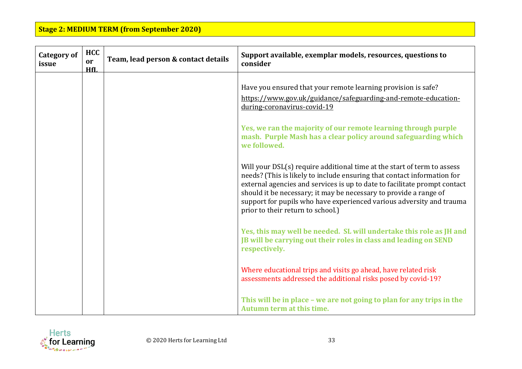| <b>Category of</b><br>issue | <b>HCC</b><br>or<br>HfL | Team, lead person & contact details | Support available, exemplar models, resources, questions to<br>consider                                                                                                                                                                                                                                                                                                                                           |
|-----------------------------|-------------------------|-------------------------------------|-------------------------------------------------------------------------------------------------------------------------------------------------------------------------------------------------------------------------------------------------------------------------------------------------------------------------------------------------------------------------------------------------------------------|
|                             |                         |                                     | Have you ensured that your remote learning provision is safe?<br>https://www.gov.uk/guidance/safeguarding-and-remote-education-<br>during-coronavirus-covid-19                                                                                                                                                                                                                                                    |
|                             |                         |                                     | Yes, we ran the majority of our remote learning through purple<br>mash. Purple Mash has a clear policy around safeguarding which<br>we followed.                                                                                                                                                                                                                                                                  |
|                             |                         |                                     | Will your DSL(s) require additional time at the start of term to assess<br>needs? (This is likely to include ensuring that contact information for<br>external agencies and services is up to date to facilitate prompt contact<br>should it be necessary; it may be necessary to provide a range of<br>support for pupils who have experienced various adversity and trauma<br>prior to their return to school.) |
|                             |                         |                                     | Yes, this may well be needed. SL will undertake this role as JH and<br>JB will be carrying out their roles in class and leading on SEND<br>respectively.                                                                                                                                                                                                                                                          |
|                             |                         |                                     | Where educational trips and visits go ahead, have related risk<br>assessments addressed the additional risks posed by covid-19?                                                                                                                                                                                                                                                                                   |
|                             |                         |                                     | This will be in place - we are not going to plan for any trips in the<br>Autumn term at this time.                                                                                                                                                                                                                                                                                                                |

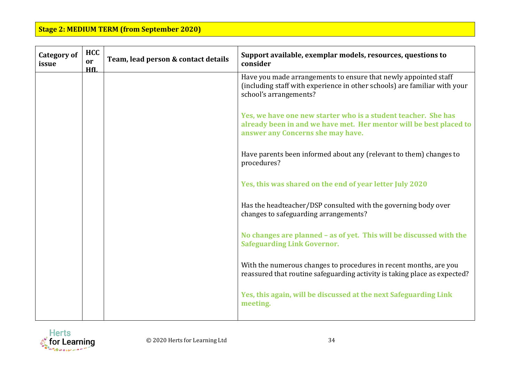| <b>Category of</b><br>issue | <b>HCC</b><br>or<br>HfL | Team, lead person & contact details | Support available, exemplar models, resources, questions to<br>consider                                                                                                   |
|-----------------------------|-------------------------|-------------------------------------|---------------------------------------------------------------------------------------------------------------------------------------------------------------------------|
|                             |                         |                                     | Have you made arrangements to ensure that newly appointed staff<br>(including staff with experience in other schools) are familiar with your<br>school's arrangements?    |
|                             |                         |                                     | Yes, we have one new starter who is a student teacher. She has<br>already been in and we have met. Her mentor will be best placed to<br>answer any Concerns she may have. |
|                             |                         |                                     | Have parents been informed about any (relevant to them) changes to<br>procedures?                                                                                         |
|                             |                         |                                     | Yes, this was shared on the end of year letter July 2020                                                                                                                  |
|                             |                         |                                     | Has the headteacher/DSP consulted with the governing body over<br>changes to safeguarding arrangements?                                                                   |
|                             |                         |                                     | No changes are planned - as of yet. This will be discussed with the<br><b>Safeguarding Link Governor.</b>                                                                 |
|                             |                         |                                     | With the numerous changes to procedures in recent months, are you<br>reassured that routine safeguarding activity is taking place as expected?                            |
|                             |                         |                                     | Yes, this again, will be discussed at the next Safeguarding Link<br>meeting.                                                                                              |

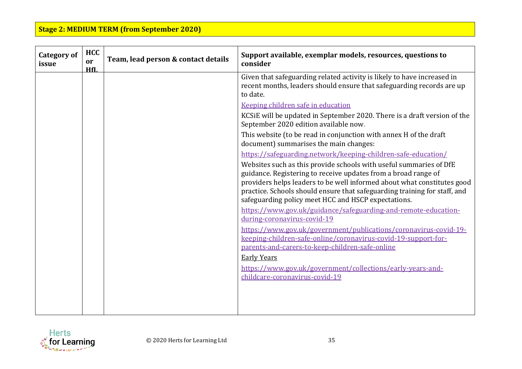| <b>Category of</b><br>issue | <b>HCC</b><br><sub>or</sub><br>HfL | Team, lead person & contact details | Support available, exemplar models, resources, questions to<br>consider                                                                                                                                                                                                                                                                             |
|-----------------------------|------------------------------------|-------------------------------------|-----------------------------------------------------------------------------------------------------------------------------------------------------------------------------------------------------------------------------------------------------------------------------------------------------------------------------------------------------|
|                             |                                    |                                     | Given that safeguarding related activity is likely to have increased in<br>recent months, leaders should ensure that safeguarding records are up<br>to date.                                                                                                                                                                                        |
|                             |                                    |                                     | Keeping children safe in education                                                                                                                                                                                                                                                                                                                  |
|                             |                                    |                                     | KCSIE will be updated in September 2020. There is a draft version of the<br>September 2020 edition available now.                                                                                                                                                                                                                                   |
|                             |                                    |                                     | This website (to be read in conjunction with annex H of the draft<br>document) summarises the main changes:                                                                                                                                                                                                                                         |
|                             |                                    |                                     | https://safeguarding.network/keeping-children-safe-education/                                                                                                                                                                                                                                                                                       |
|                             |                                    |                                     | Websites such as this provide schools with useful summaries of DfE<br>guidance. Registering to receive updates from a broad range of<br>providers helps leaders to be well informed about what constitutes good<br>practice. Schools should ensure that safeguarding training for staff, and<br>safeguarding policy meet HCC and HSCP expectations. |
|                             |                                    |                                     | https://www.gov.uk/guidance/safeguarding-and-remote-education-<br>during-coronavirus-covid-19                                                                                                                                                                                                                                                       |
|                             |                                    |                                     | https://www.gov.uk/government/publications/coronavirus-covid-19-<br>keeping-children-safe-online/coronavirus-covid-19-support-for-<br>parents-and-carers-to-keep-children-safe-online                                                                                                                                                               |
|                             |                                    |                                     | <b>Early Years</b>                                                                                                                                                                                                                                                                                                                                  |
|                             |                                    |                                     | https://www.gov.uk/government/collections/early-years-and-<br>childcare-coronavirus-covid-19                                                                                                                                                                                                                                                        |
|                             |                                    |                                     |                                                                                                                                                                                                                                                                                                                                                     |

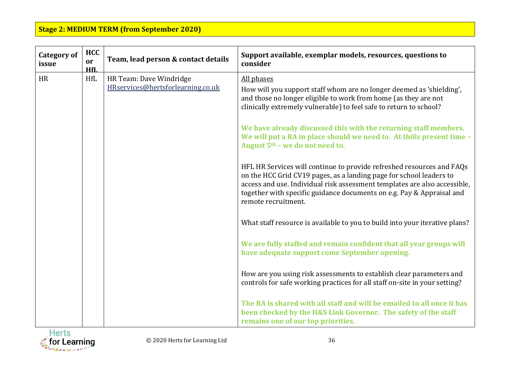| <b>Category of</b><br>issue | <b>HCC</b><br>or<br>HfL | Team, lead person & contact details | Support available, exemplar models, resources, questions to<br>consider                                                                                                                                                                                                                                                   |
|-----------------------------|-------------------------|-------------------------------------|---------------------------------------------------------------------------------------------------------------------------------------------------------------------------------------------------------------------------------------------------------------------------------------------------------------------------|
| <b>HR</b>                   | <b>HfL</b>              | HR Team: Dave Windridge             | All phases                                                                                                                                                                                                                                                                                                                |
|                             |                         | HRservices@hertsforlearning.co.uk   | How will you support staff whom are no longer deemed as 'shielding',<br>and those no longer eligible to work from home (as they are not<br>clinically extremely vulnerable) to feel safe to return to school?                                                                                                             |
|                             |                         |                                     | We have already discussed this with the returning staff members.<br>We will put a RA in place should we need to. At thi8s present time -<br>August 5 <sup>th</sup> - we do not need to.                                                                                                                                   |
|                             |                         |                                     | HFL HR Services will continue to provide refreshed resources and FAQs<br>on the HCC Grid CV19 pages, as a landing page for school leaders to<br>access and use. Individual risk assessment templates are also accessible,<br>together with specific guidance documents on e.g. Pay & Appraisal and<br>remote recruitment. |
|                             |                         |                                     | What staff resource is available to you to build into your iterative plans?                                                                                                                                                                                                                                               |
|                             |                         |                                     | We are fully staffed and remain confident that all year groups will<br>have adequate support come September opening.                                                                                                                                                                                                      |
|                             |                         |                                     | How are you using risk assessments to establish clear parameters and<br>controls for safe working practices for all staff on-site in your setting?                                                                                                                                                                        |
|                             |                         |                                     | The RA is shared with all staff and will be emailed to all once it has<br>been checked by the H&S Link Governor. The safety of the staff<br>remains one of our top priorities.                                                                                                                                            |

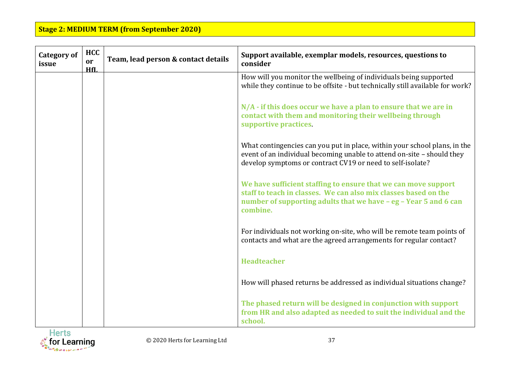| <b>Category of</b><br>issue | <b>HCC</b><br>or<br>HfL | Team, lead person & contact details | Support available, exemplar models, resources, questions to<br>consider                                                                                                                                           |
|-----------------------------|-------------------------|-------------------------------------|-------------------------------------------------------------------------------------------------------------------------------------------------------------------------------------------------------------------|
|                             |                         |                                     | How will you monitor the wellbeing of individuals being supported<br>while they continue to be offsite - but technically still available for work?                                                                |
|                             |                         |                                     | N/A - if this does occur we have a plan to ensure that we are in<br>contact with them and monitoring their wellbeing through<br>supportive practices.                                                             |
|                             |                         |                                     | What contingencies can you put in place, within your school plans, in the<br>event of an individual becoming unable to attend on-site - should they<br>develop symptoms or contract CV19 or need to self-isolate? |
|                             |                         |                                     | We have sufficient staffing to ensure that we can move support<br>staff to teach in classes. We can also mix classes based on the<br>number of supporting adults that we have - eg - Year 5 and 6 can<br>combine. |
|                             |                         |                                     | For individuals not working on-site, who will be remote team points of<br>contacts and what are the agreed arrangements for regular contact?                                                                      |
|                             |                         |                                     | <b>Headteacher</b>                                                                                                                                                                                                |
|                             |                         |                                     | How will phased returns be addressed as individual situations change?                                                                                                                                             |
|                             |                         |                                     | The phased return will be designed in conjunction with support<br>from HR and also adapted as needed to suit the individual and the<br>school.                                                                    |

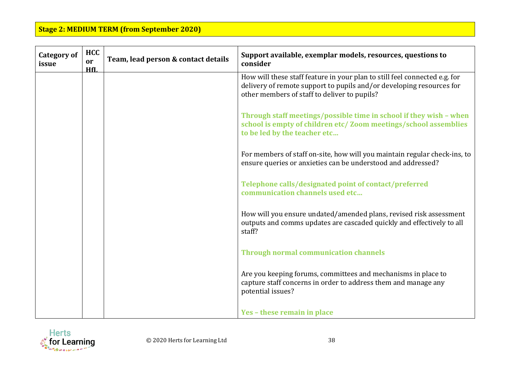| <b>Category of</b><br>issue | <b>HCC</b><br>or<br>HfI. | Team, lead person & contact details | Support available, exemplar models, resources, questions to<br>consider                                                                                                                            |
|-----------------------------|--------------------------|-------------------------------------|----------------------------------------------------------------------------------------------------------------------------------------------------------------------------------------------------|
|                             |                          |                                     | How will these staff feature in your plan to still feel connected e.g. for<br>delivery of remote support to pupils and/or developing resources for<br>other members of staff to deliver to pupils? |
|                             |                          |                                     | Through staff meetings/possible time in school if they wish - when<br>school is empty of children etc/ Zoom meetings/school assemblies<br>to be led by the teacher etc                             |
|                             |                          |                                     | For members of staff on-site, how will you maintain regular check-ins, to<br>ensure queries or anxieties can be understood and addressed?                                                          |
|                             |                          |                                     | Telephone calls/designated point of contact/preferred<br>communication channels used etc                                                                                                           |
|                             |                          |                                     | How will you ensure undated/amended plans, revised risk assessment<br>outputs and comms updates are cascaded quickly and effectively to all<br>staff?                                              |
|                             |                          |                                     | <b>Through normal communication channels</b>                                                                                                                                                       |
|                             |                          |                                     | Are you keeping forums, committees and mechanisms in place to<br>capture staff concerns in order to address them and manage any<br>potential issues?                                               |
|                             |                          |                                     | Yes - these remain in place                                                                                                                                                                        |

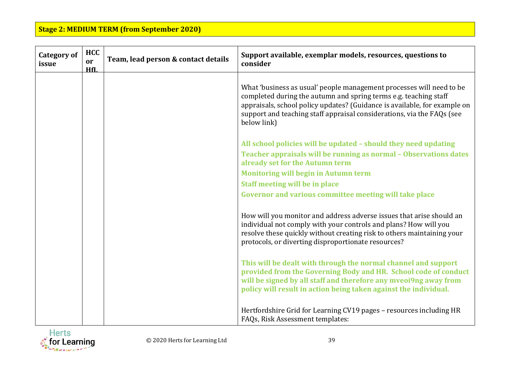| <b>Category of</b><br>issue | <b>HCC</b><br>or<br>HfI. | Team, lead person & contact details | Support available, exemplar models, resources, questions to<br>consider                                                                                                                                                                                                                                        |
|-----------------------------|--------------------------|-------------------------------------|----------------------------------------------------------------------------------------------------------------------------------------------------------------------------------------------------------------------------------------------------------------------------------------------------------------|
|                             |                          |                                     | What 'business as usual' people management processes will need to be<br>completed during the autumn and spring terms e.g. teaching staff<br>appraisals, school policy updates? (Guidance is available, for example on<br>support and teaching staff appraisal considerations, via the FAQs (see<br>below link) |
|                             |                          |                                     | All school policies will be updated - should they need updating<br>Teacher appraisals will be running as normal - Observations dates<br>already set for the Autumn term                                                                                                                                        |
|                             |                          |                                     | <b>Monitoring will begin in Autumn term</b>                                                                                                                                                                                                                                                                    |
|                             |                          |                                     | <b>Staff meeting will be in place</b>                                                                                                                                                                                                                                                                          |
|                             |                          |                                     | Governor and various committee meeting will take place                                                                                                                                                                                                                                                         |
|                             |                          |                                     | How will you monitor and address adverse issues that arise should an<br>individual not comply with your controls and plans? How will you<br>resolve these quickly without creating risk to others maintaining your<br>protocols, or diverting disproportionate resources?                                      |
|                             |                          |                                     | This will be dealt with through the normal channel and support<br>provided from the Governing Body and HR. School code of conduct<br>will be signed by all staff and therefore any mveoi9ng away from<br>policy will result in action being taken against the individual.                                      |
|                             |                          |                                     | Hertfordshire Grid for Learning CV19 pages - resources including HR<br>FAQs, Risk Assessment templates:                                                                                                                                                                                                        |

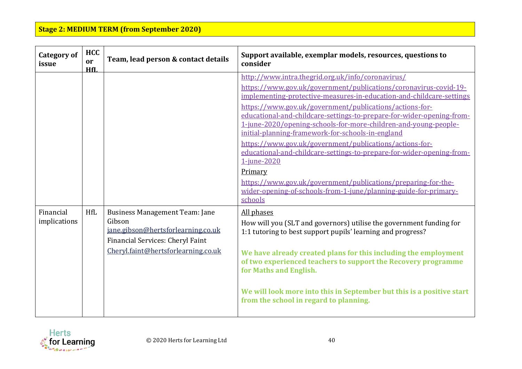| <b>Category of</b><br>issue | <b>HCC</b><br><sub>or</sub><br>HfL | Team, lead person & contact details                                                                                                                              | Support available, exemplar models, resources, questions to<br>consider                                                                                                                                                                                                                                                                                                                                                                                                                                                                                                                                                                                                                                                                                                 |
|-----------------------------|------------------------------------|------------------------------------------------------------------------------------------------------------------------------------------------------------------|-------------------------------------------------------------------------------------------------------------------------------------------------------------------------------------------------------------------------------------------------------------------------------------------------------------------------------------------------------------------------------------------------------------------------------------------------------------------------------------------------------------------------------------------------------------------------------------------------------------------------------------------------------------------------------------------------------------------------------------------------------------------------|
|                             |                                    |                                                                                                                                                                  | http://www.intra.thegrid.org.uk/info/coronavirus/<br>https://www.gov.uk/government/publications/coronavirus-covid-19-<br>implementing-protective-measures-in-education-and-childcare-settings<br>https://www.gov.uk/government/publications/actions-for-<br>educational-and-childcare-settings-to-prepare-for-wider-opening-from-<br>1-june-2020/opening-schools-for-more-children-and-young-people-<br>initial-planning-framework-for-schools-in-england<br>https://www.gov.uk/government/publications/actions-for-<br>educational-and-childcare-settings-to-prepare-for-wider-opening-from-<br>1-june-2020<br>Primary<br>https://www.gov.uk/government/publications/preparing-for-the-<br>wider-opening-of-schools-from-1-june/planning-guide-for-primary-<br>schools |
| Financial<br>implications   | <b>HfL</b>                         | <b>Business Management Team: Jane</b><br>Gibson<br>jane.gibson@hertsforlearning.co.uk<br>Financial Services: Cheryl Faint<br>Cheryl.faint@hertsforlearning.co.uk | All phases<br>How will you (SLT and governors) utilise the government funding for<br>1:1 tutoring to best support pupils' learning and progress?<br>We have already created plans for this including the employment<br>of two experienced teachers to support the Recovery programme<br>for Maths and English.<br>We will look more into this in September but this is a positive start<br>from the school in regard to planning.                                                                                                                                                                                                                                                                                                                                       |

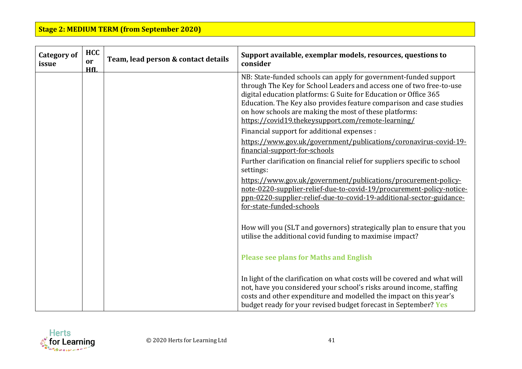| <b>Category of</b><br>issue | <b>HCC</b><br>or<br>HfI. | Team, lead person & contact details | Support available, exemplar models, resources, questions to<br>consider                                                                                                                                                                                                                                                                                                                              |
|-----------------------------|--------------------------|-------------------------------------|------------------------------------------------------------------------------------------------------------------------------------------------------------------------------------------------------------------------------------------------------------------------------------------------------------------------------------------------------------------------------------------------------|
|                             |                          |                                     | NB: State-funded schools can apply for government-funded support<br>through The Key for School Leaders and access one of two free-to-use<br>digital education platforms: G Suite for Education or Office 365<br>Education. The Key also provides feature comparison and case studies<br>on how schools are making the most of these platforms:<br>https://covid19.thekeysupport.com/remote-learning/ |
|                             |                          |                                     | Financial support for additional expenses :                                                                                                                                                                                                                                                                                                                                                          |
|                             |                          |                                     | https://www.gov.uk/government/publications/coronavirus-covid-19-<br>financial-support-for-schools                                                                                                                                                                                                                                                                                                    |
|                             |                          |                                     | Further clarification on financial relief for suppliers specific to school<br>settings:                                                                                                                                                                                                                                                                                                              |
|                             |                          |                                     | https://www.gov.uk/government/publications/procurement-policy-<br>note-0220-supplier-relief-due-to-covid-19/procurement-policy-notice-<br>ppn-0220-supplier-relief-due-to-covid-19-additional-sector-guidance-<br>for-state-funded-schools                                                                                                                                                           |
|                             |                          |                                     | How will you (SLT and governors) strategically plan to ensure that you<br>utilise the additional covid funding to maximise impact?                                                                                                                                                                                                                                                                   |
|                             |                          |                                     | <b>Please see plans for Maths and English</b>                                                                                                                                                                                                                                                                                                                                                        |
|                             |                          |                                     | In light of the clarification on what costs will be covered and what will<br>not, have you considered your school's risks around income, staffing<br>costs and other expenditure and modelled the impact on this year's<br>budget ready for your revised budget forecast in September? Yes                                                                                                           |

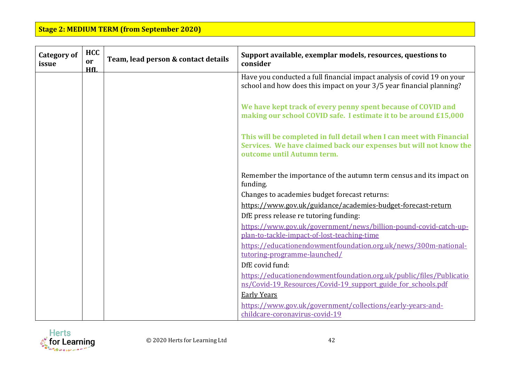| <b>Category of</b><br>issue | <b>HCC</b><br>or<br>HfL | Team, lead person & contact details | Support available, exemplar models, resources, questions to<br>consider                                                                                                 |
|-----------------------------|-------------------------|-------------------------------------|-------------------------------------------------------------------------------------------------------------------------------------------------------------------------|
|                             |                         |                                     | Have you conducted a full financial impact analysis of covid 19 on your<br>school and how does this impact on your 3/5 year financial planning?                         |
|                             |                         |                                     | We have kept track of every penny spent because of COVID and<br>making our school COVID safe. I estimate it to be around £15,000                                        |
|                             |                         |                                     | This will be completed in full detail when I can meet with Financial<br>Services. We have claimed back our expenses but will not know the<br>outcome until Autumn term. |
|                             |                         |                                     | Remember the importance of the autumn term census and its impact on<br>funding.                                                                                         |
|                             |                         |                                     | Changes to academies budget forecast returns:                                                                                                                           |
|                             |                         |                                     | https://www.gov.uk/guidance/academies-budget-forecast-return                                                                                                            |
|                             |                         |                                     | DfE press release re tutoring funding:                                                                                                                                  |
|                             |                         |                                     | https://www.gov.uk/government/news/billion-pound-covid-catch-up-<br>plan-to-tackle-impact-of-lost-teaching-time                                                         |
|                             |                         |                                     | https://educationendowmentfoundation.org.uk/news/300m-national-<br>tutoring-programme-launched/                                                                         |
|                             |                         |                                     | DfE covid fund:                                                                                                                                                         |
|                             |                         |                                     | https://educationendowmentfoundation.org.uk/public/files/Publicatio                                                                                                     |
|                             |                         |                                     | ns/Covid-19 Resources/Covid-19 support guide for schools.pdf                                                                                                            |
|                             |                         |                                     | <b>Early Years</b>                                                                                                                                                      |
|                             |                         |                                     | https://www.gov.uk/government/collections/early-years-and-                                                                                                              |
|                             |                         |                                     | childcare-coronavirus-covid-19                                                                                                                                          |

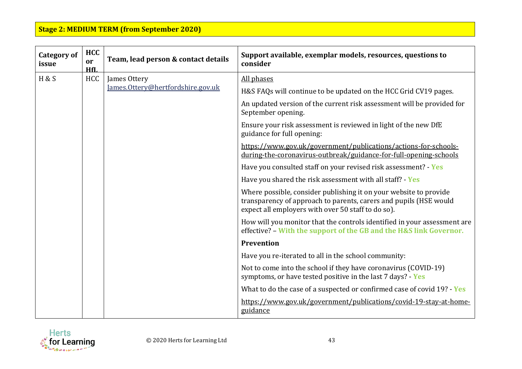| <b>Category of</b><br>issue | <b>HCC</b><br>or<br>HfI. | Team, lead person & contact details | Support available, exemplar models, resources, questions to<br>consider                                                                                                                      |
|-----------------------------|--------------------------|-------------------------------------|----------------------------------------------------------------------------------------------------------------------------------------------------------------------------------------------|
| H&S                         | <b>HCC</b>               | James Ottery                        | All phases                                                                                                                                                                                   |
|                             |                          | James.Ottery@hertfordshire.gov.uk   | H&S FAQs will continue to be updated on the HCC Grid CV19 pages.                                                                                                                             |
|                             |                          |                                     | An updated version of the current risk assessment will be provided for<br>September opening.                                                                                                 |
|                             |                          |                                     | Ensure your risk assessment is reviewed in light of the new DfE<br>guidance for full opening:                                                                                                |
|                             |                          |                                     | https://www.gov.uk/government/publications/actions-for-schools-<br>during-the-coronavirus-outbreak/guidance-for-full-opening-schools                                                         |
|                             |                          |                                     | Have you consulted staff on your revised risk assessment? - Yes                                                                                                                              |
|                             |                          |                                     | Have you shared the risk assessment with all staff? - Yes                                                                                                                                    |
|                             |                          |                                     | Where possible, consider publishing it on your website to provide<br>transparency of approach to parents, carers and pupils (HSE would<br>expect all employers with over 50 staff to do so). |
|                             |                          |                                     | How will you monitor that the controls identified in your assessment are<br>effective? - With the support of the GB and the H&S link Governor.                                               |
|                             |                          |                                     | Prevention                                                                                                                                                                                   |
|                             |                          |                                     | Have you re-iterated to all in the school community:                                                                                                                                         |
|                             |                          |                                     | Not to come into the school if they have coronavirus (COVID-19)<br>symptoms, or have tested positive in the last 7 days? - Yes                                                               |
|                             |                          |                                     | What to do the case of a suspected or confirmed case of covid 19? - Yes                                                                                                                      |
|                             |                          |                                     | https://www.gov.uk/government/publications/covid-19-stay-at-home-<br>guidance                                                                                                                |

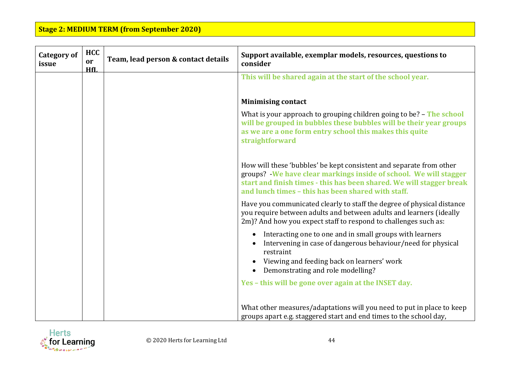| <b>Category of</b><br>issue | <b>HCC</b><br>or<br><b>HfL</b> | Team, lead person & contact details | Support available, exemplar models, resources, questions to<br>consider                                                                                                                                                                                                          |
|-----------------------------|--------------------------------|-------------------------------------|----------------------------------------------------------------------------------------------------------------------------------------------------------------------------------------------------------------------------------------------------------------------------------|
|                             |                                |                                     | This will be shared again at the start of the school year.                                                                                                                                                                                                                       |
|                             |                                |                                     |                                                                                                                                                                                                                                                                                  |
|                             |                                |                                     | <b>Minimising contact</b>                                                                                                                                                                                                                                                        |
|                             |                                |                                     | What is your approach to grouping children going to be? - The school<br>will be grouped in bubbles these bubbles will be their year groups<br>as we are a one form entry school this makes this quite<br>straightforward                                                         |
|                             |                                |                                     | How will these 'bubbles' be kept consistent and separate from other<br>groups? We have clear markings inside of school. We will stagger<br>start and finish times - this has been shared. We will stagger break<br>and lunch times - this has been shared with staff.            |
|                             |                                |                                     | Have you communicated clearly to staff the degree of physical distance<br>you require between adults and between adults and learners (ideally<br>2m)? And how you expect staff to respond to challenges such as:                                                                 |
|                             |                                |                                     | Interacting one to one and in small groups with learners<br>Intervening in case of dangerous behaviour/need for physical<br>restraint<br>Viewing and feeding back on learners' work<br>Demonstrating and role modelling?<br>Yes – this will be gone over again at the INSET day. |
|                             |                                |                                     | What other measures/adaptations will you need to put in place to keep<br>groups apart e.g. staggered start and end times to the school day,                                                                                                                                      |

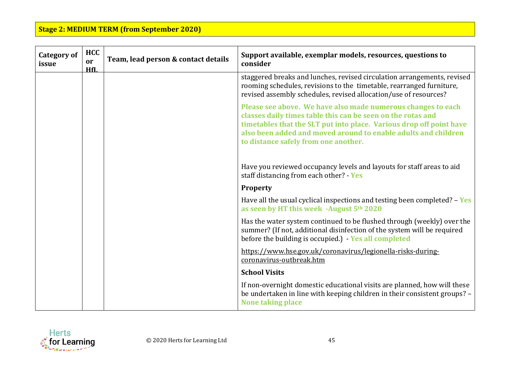| <b>Category of</b><br>issue | <b>HCC</b><br>or<br>HfL | Team, lead person & contact details | Support available, exemplar models, resources, questions to<br>consider                                                                                                                                                                                                                                      |
|-----------------------------|-------------------------|-------------------------------------|--------------------------------------------------------------------------------------------------------------------------------------------------------------------------------------------------------------------------------------------------------------------------------------------------------------|
|                             |                         |                                     | staggered breaks and lunches, revised circulation arrangements, revised<br>rooming schedules, revisions to the timetable, rearranged furniture,<br>revised assembly schedules, revised allocation/use of resources?                                                                                          |
|                             |                         |                                     | Please see above. We have also made numerous changes to each<br>classes daily times table this can be seen on the rotas and<br>timetables that the SLT put into place. Various drop off point have<br>also been added and moved around to enable adults and children<br>to distance safely from one another. |
|                             |                         |                                     | Have you reviewed occupancy levels and layouts for staff areas to aid<br>staff distancing from each other? - Yes                                                                                                                                                                                             |
|                             |                         |                                     | <b>Property</b>                                                                                                                                                                                                                                                                                              |
|                             |                         |                                     | Have all the usual cyclical inspections and testing been completed? $-$ Yes<br>as seen by HT this week -August 5th 2020                                                                                                                                                                                      |
|                             |                         |                                     | Has the water system continued to be flushed through (weekly) over the<br>summer? (If not, additional disinfection of the system will be required<br>before the building is occupied.) - Yes all completed                                                                                                   |
|                             |                         |                                     | https://www.hse.gov.uk/coronavirus/legionella-risks-during-<br>coronavirus-outbreak.htm                                                                                                                                                                                                                      |
|                             |                         |                                     | <b>School Visits</b>                                                                                                                                                                                                                                                                                         |
|                             |                         |                                     | If non-overnight domestic educational visits are planned, how will these<br>be undertaken in line with keeping children in their consistent groups? -<br><b>None taking place</b>                                                                                                                            |

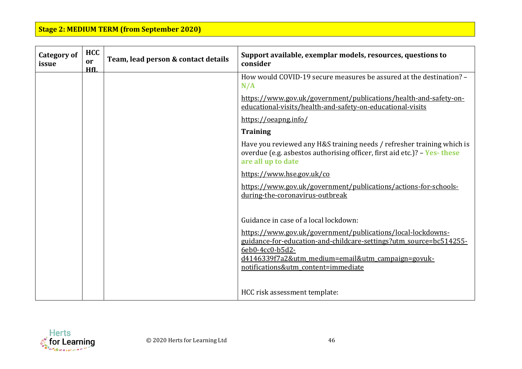| <b>Category of</b><br>issue | <b>HCC</b><br>or<br>HfI. | Team, lead person & contact details | Support available, exemplar models, resources, questions to<br>consider                                                                                                                                                                                                                   |
|-----------------------------|--------------------------|-------------------------------------|-------------------------------------------------------------------------------------------------------------------------------------------------------------------------------------------------------------------------------------------------------------------------------------------|
|                             |                          |                                     | How would COVID-19 secure measures be assured at the destination? -<br>N/A                                                                                                                                                                                                                |
|                             |                          |                                     | https://www.gov.uk/government/publications/health-and-safety-on-<br>educational-visits/health-and-safety-on-educational-visits                                                                                                                                                            |
|                             |                          |                                     | https://oeapng.info/                                                                                                                                                                                                                                                                      |
|                             |                          |                                     | <b>Training</b>                                                                                                                                                                                                                                                                           |
|                             |                          |                                     | Have you reviewed any H&S training needs / refresher training which is<br>overdue (e.g. asbestos authorising officer, first aid etc.)? - Yes-these<br>are all up to date                                                                                                                  |
|                             |                          |                                     | https://www.hse.gov.uk/co                                                                                                                                                                                                                                                                 |
|                             |                          |                                     | https://www.gov.uk/government/publications/actions-for-schools-<br>during-the-coronavirus-outbreak                                                                                                                                                                                        |
|                             |                          |                                     | Guidance in case of a local lockdown:<br>https://www.gov.uk/government/publications/local-lockdowns-<br>guidance-for-education-and-childcare-settings?utm_source=bc514255-<br>6eb0-4cc0-b5d2-<br>d4146339f7a2&utm medium=email&utm campaign=govuk-<br>notifications&utm content=immediate |
|                             |                          |                                     | HCC risk assessment template:                                                                                                                                                                                                                                                             |

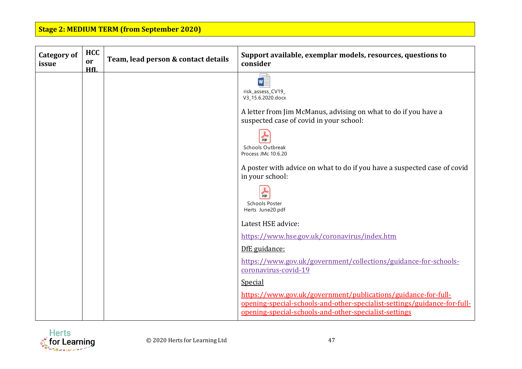| <b>HCC</b><br>or | Team, lead person & contact details | Support available, exemplar models, resources, questions to<br>consider                                                                                                                                                                                                                                                                    |
|------------------|-------------------------------------|--------------------------------------------------------------------------------------------------------------------------------------------------------------------------------------------------------------------------------------------------------------------------------------------------------------------------------------------|
|                  |                                     | risk_assess_CV19_<br>V3_15.6.2020.docx<br>A letter from Jim McManus, advising on what to do if you have a<br>suspected case of covid in your school:<br><b>PDF</b><br><b>Schools Outbreak</b><br>Process JMc 10.6.20<br>A poster with advice on what to do if you have a suspected case of covid<br>in your school:<br>品<br>Schools Poster |
|                  |                                     | Herts June20.pdf<br>Latest HSE advice:                                                                                                                                                                                                                                                                                                     |
|                  |                                     | https://www.hse.gov.uk/coronavirus/index.htm<br>DfE guidance:<br>https://www.gov.uk/government/collections/guidance-for-schools-                                                                                                                                                                                                           |
|                  |                                     | coronavirus-covid-19<br><b>Special</b><br>https://www.gov.uk/government/publications/guidance-for-full-<br>opening-special-schools-and-other-specialist-settings/guidance-for-full-<br>opening-special-schools-and-other-specialist-settings                                                                                               |
|                  | HfL                                 |                                                                                                                                                                                                                                                                                                                                            |

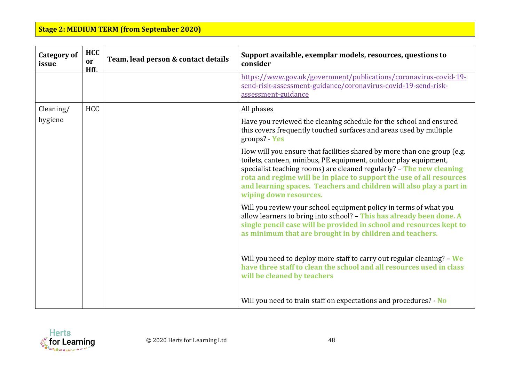| <b>Category of</b><br>issue | <b>HCC</b><br>or<br>HfL | Team, lead person & contact details | Support available, exemplar models, resources, questions to<br>consider                                                                                                                                                                                                                                                                                                                      |
|-----------------------------|-------------------------|-------------------------------------|----------------------------------------------------------------------------------------------------------------------------------------------------------------------------------------------------------------------------------------------------------------------------------------------------------------------------------------------------------------------------------------------|
|                             |                         |                                     | https://www.gov.uk/government/publications/coronavirus-covid-19-<br>send-risk-assessment-guidance/coronavirus-covid-19-send-risk-<br>assessment-guidance                                                                                                                                                                                                                                     |
| Cleaning/                   | <b>HCC</b>              |                                     | All phases                                                                                                                                                                                                                                                                                                                                                                                   |
| hygiene                     |                         |                                     | Have you reviewed the cleaning schedule for the school and ensured<br>this covers frequently touched surfaces and areas used by multiple<br>groups? - Yes                                                                                                                                                                                                                                    |
|                             |                         |                                     | How will you ensure that facilities shared by more than one group (e.g.<br>toilets, canteen, minibus, PE equipment, outdoor play equipment,<br>specialist teaching rooms) are cleaned regularly? - The new cleaning<br>rota and regime will be in place to support the use of all resources<br>and learning spaces. Teachers and children will also play a part in<br>wiping down resources. |
|                             |                         |                                     | Will you review your school equipment policy in terms of what you<br>allow learners to bring into school? - This has already been done. A<br>single pencil case will be provided in school and resources kept to<br>as minimum that are brought in by children and teachers.                                                                                                                 |
|                             |                         |                                     | Will you need to deploy more staff to carry out regular cleaning? - We<br>have three staff to clean the school and all resources used in class<br>will be cleaned by teachers                                                                                                                                                                                                                |
|                             |                         |                                     | Will you need to train staff on expectations and procedures? - No                                                                                                                                                                                                                                                                                                                            |

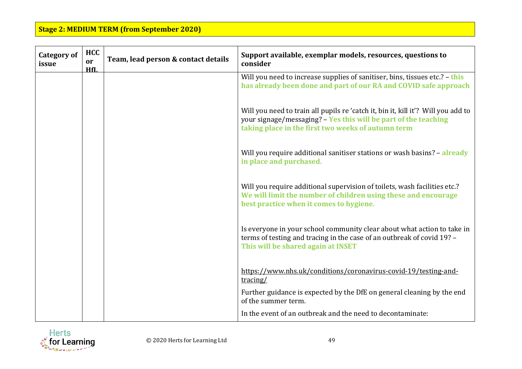| <b>Category of</b><br>issue | <b>HCC</b><br><b>or</b><br>HfI. | Team, lead person & contact details | Support available, exemplar models, resources, questions to<br>consider                                                                                                                                    |
|-----------------------------|---------------------------------|-------------------------------------|------------------------------------------------------------------------------------------------------------------------------------------------------------------------------------------------------------|
|                             |                                 |                                     | Will you need to increase supplies of sanitiser, bins, tissues etc.? - this<br>has already been done and part of our RA and COVID safe approach                                                            |
|                             |                                 |                                     | Will you need to train all pupils re 'catch it, bin it, kill it'? Will you add to<br>your signage/messaging? - Yes this will be part of the teaching<br>taking place in the first two weeks of autumn term |
|                             |                                 |                                     | Will you require additional sanitiser stations or wash basins? - already<br>in place and purchased.                                                                                                        |
|                             |                                 |                                     | Will you require additional supervision of toilets, wash facilities etc.?<br>We will limit the number of children using these and encourage<br>best practice when it comes to hygiene.                     |
|                             |                                 |                                     | Is everyone in your school community clear about what action to take in<br>terms of testing and tracing in the case of an outbreak of covid 19? -<br>This will be shared again at INSET                    |
|                             |                                 |                                     | https://www.nhs.uk/conditions/coronavirus-covid-19/testing-and-<br>tracing/                                                                                                                                |
|                             |                                 |                                     | Further guidance is expected by the DfE on general cleaning by the end<br>of the summer term.                                                                                                              |
|                             |                                 |                                     | In the event of an outbreak and the need to decontaminate:                                                                                                                                                 |

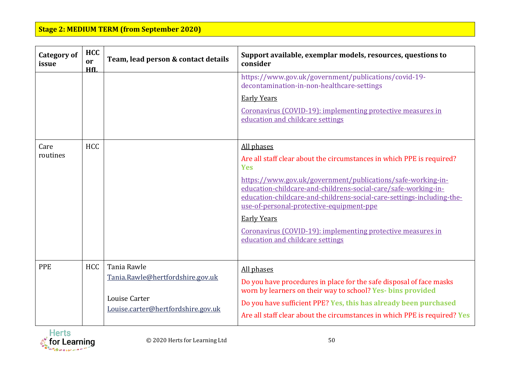| <b>Category of</b><br>issue | <b>HCC</b><br>or<br>HfL | Team, lead person & contact details                 | Support available, exemplar models, resources, questions to<br>consider                                                                                                                                                                            |
|-----------------------------|-------------------------|-----------------------------------------------------|----------------------------------------------------------------------------------------------------------------------------------------------------------------------------------------------------------------------------------------------------|
|                             |                         |                                                     | https://www.gov.uk/government/publications/covid-19-<br>decontamination-in-non-healthcare-settings                                                                                                                                                 |
|                             |                         |                                                     | <b>Early Years</b>                                                                                                                                                                                                                                 |
|                             |                         |                                                     | Coronavirus (COVID-19): implementing protective measures in<br>education and childcare settings                                                                                                                                                    |
|                             |                         |                                                     |                                                                                                                                                                                                                                                    |
| Care                        | <b>HCC</b>              |                                                     | All phases                                                                                                                                                                                                                                         |
| routines                    |                         |                                                     | Are all staff clear about the circumstances in which PPE is required?<br><b>Yes</b>                                                                                                                                                                |
|                             |                         |                                                     | https://www.gov.uk/government/publications/safe-working-in-<br>education-childcare-and-childrens-social-care/safe-working-in-<br>education-childcare-and-childrens-social-care-settings-including-the-<br>use-of-personal-protective-equipment-ppe |
|                             |                         |                                                     | <b>Early Years</b>                                                                                                                                                                                                                                 |
|                             |                         |                                                     | Coronavirus (COVID-19): implementing protective measures in<br>education and childcare settings                                                                                                                                                    |
|                             |                         |                                                     |                                                                                                                                                                                                                                                    |
| <b>PPE</b>                  | <b>HCC</b>              | Tania Rawle<br>Tania.Rawle@hertfordshire.gov.uk     | All phases<br>Do you have procedures in place for the safe disposal of face masks<br>worn by learners on their way to school? Yes- bins provided                                                                                                   |
|                             |                         | Louise Carter<br>Louise.carter@hertfordshire.gov.uk | Do you have sufficient PPE? Yes, this has already been purchased<br>Are all staff clear about the circumstances in which PPE is required? Yes                                                                                                      |

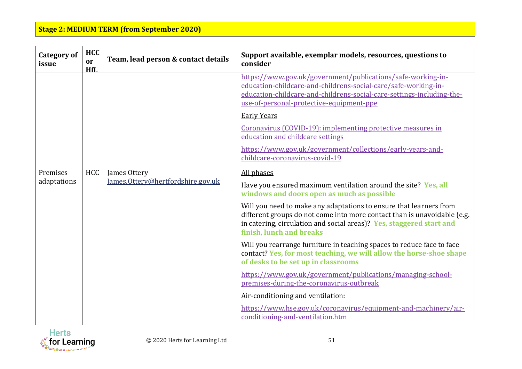| <b>Category of</b><br>issue | <b>HCC</b><br>or<br>HfL | Team, lead person & contact details               | Support available, exemplar models, resources, questions to<br>consider                                                                                                                                                                                                                                                                                                                                                                                                     |
|-----------------------------|-------------------------|---------------------------------------------------|-----------------------------------------------------------------------------------------------------------------------------------------------------------------------------------------------------------------------------------------------------------------------------------------------------------------------------------------------------------------------------------------------------------------------------------------------------------------------------|
|                             |                         |                                                   | https://www.gov.uk/government/publications/safe-working-in-<br>education-childcare-and-childrens-social-care/safe-working-in-<br>education-childcare-and-childrens-social-care-settings-including-the-<br>use-of-personal-protective-equipment-ppe<br><b>Early Years</b><br>Coronavirus (COVID-19): implementing protective measures in<br>education and childcare settings<br>https://www.gov.uk/government/collections/early-years-and-<br>childcare-coronavirus-covid-19 |
| Premises<br>adaptations     | <b>HCC</b>              | James Ottery<br>James.Ottery@hertfordshire.gov.uk | All phases<br>Have you ensured maximum ventilation around the site? Yes, all<br>windows and doors open as much as possible<br>Will you need to make any adaptations to ensure that learners from<br>different groups do not come into more contact than is unavoidable (e.g.<br>in catering, circulation and social areas)? Yes, staggered start and<br>finish, lunch and breaks                                                                                            |
|                             |                         |                                                   | Will you rearrange furniture in teaching spaces to reduce face to face<br>contact? Yes, for most teaching, we will allow the horse-shoe shape<br>of desks to be set up in classrooms<br>https://www.gov.uk/government/publications/managing-school-<br>premises-during-the-coronavirus-outbreak                                                                                                                                                                             |
|                             |                         |                                                   | Air-conditioning and ventilation:<br>https://www.hse.gov.uk/coronavirus/equipment-and-machinery/air-<br>conditioning-and-ventilation.htm                                                                                                                                                                                                                                                                                                                                    |

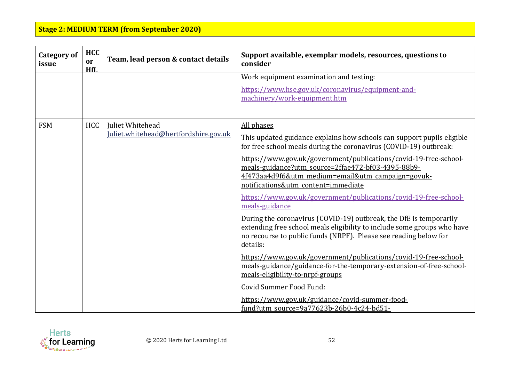| <b>Category of</b><br>issue | <b>HCC</b><br>or<br>HfI. | Team, lead person & contact details   | Support available, exemplar models, resources, questions to<br>consider                                                                                                                                                       |
|-----------------------------|--------------------------|---------------------------------------|-------------------------------------------------------------------------------------------------------------------------------------------------------------------------------------------------------------------------------|
|                             |                          |                                       | Work equipment examination and testing:                                                                                                                                                                                       |
|                             |                          |                                       | https://www.hse.gov.uk/coronavirus/equipment-and-<br>machinery/work-equipment.htm                                                                                                                                             |
| <b>FSM</b>                  | <b>HCC</b>               | Juliet Whitehead                      | All phases                                                                                                                                                                                                                    |
|                             |                          | Juliet.whitehead@hertfordshire.gov.uk | This updated guidance explains how schools can support pupils eligible<br>for free school meals during the coronavirus (COVID-19) outbreak:                                                                                   |
|                             |                          |                                       | https://www.gov.uk/government/publications/covid-19-free-school-<br>meals-guidance?utm source=2ffae472-bf03-4395-88b9-<br>4f473aa4d9f6&utm medium=email&utm campaign=govuk-<br>notifications&utm_content=immediate            |
|                             |                          |                                       | https://www.gov.uk/government/publications/covid-19-free-school-<br>meals-guidance                                                                                                                                            |
|                             |                          |                                       | During the coronavirus (COVID-19) outbreak, the DfE is temporarily<br>extending free school meals eligibility to include some groups who have<br>no recourse to public funds (NRPF). Please see reading below for<br>details: |
|                             |                          |                                       | https://www.gov.uk/government/publications/covid-19-free-school-<br>meals-guidance/guidance-for-the-temporary-extension-of-free-school-<br>meals-eligibility-to-nrpf-groups                                                   |
|                             |                          |                                       | Covid Summer Food Fund:                                                                                                                                                                                                       |
|                             |                          |                                       | https://www.gov.uk/guidance/covid-summer-food-<br>fund?utm source=9a77623b-26b0-4c24-bd51-                                                                                                                                    |

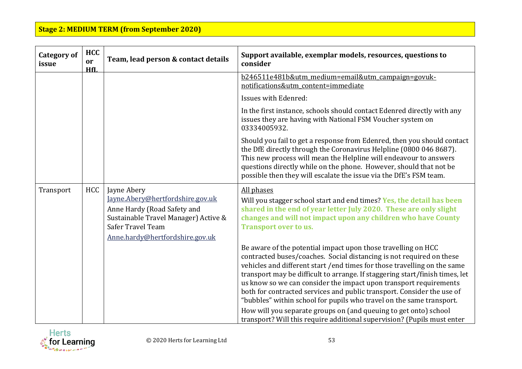| <b>Category of</b><br>issue | <b>HCC</b><br>or<br>HfL | Team, lead person & contact details                                                                                                                                            | Support available, exemplar models, resources, questions to<br>consider                                                                                                                                                                                                                                                                                                                                                                                                                                                   |
|-----------------------------|-------------------------|--------------------------------------------------------------------------------------------------------------------------------------------------------------------------------|---------------------------------------------------------------------------------------------------------------------------------------------------------------------------------------------------------------------------------------------------------------------------------------------------------------------------------------------------------------------------------------------------------------------------------------------------------------------------------------------------------------------------|
|                             |                         |                                                                                                                                                                                | b246511e481b&utm medium=email&utm campaign=govuk-<br>notifications&utm content=immediate                                                                                                                                                                                                                                                                                                                                                                                                                                  |
|                             |                         |                                                                                                                                                                                | Issues with Edenred:                                                                                                                                                                                                                                                                                                                                                                                                                                                                                                      |
|                             |                         |                                                                                                                                                                                | In the first instance, schools should contact Edenred directly with any<br>issues they are having with National FSM Voucher system on<br>03334005932.                                                                                                                                                                                                                                                                                                                                                                     |
|                             |                         |                                                                                                                                                                                | Should you fail to get a response from Edenred, then you should contact<br>the DfE directly through the Coronavirus Helpline (0800 046 8687).<br>This new process will mean the Helpline will endeavour to answers<br>questions directly while on the phone. However, should that not be<br>possible then they will escalate the issue via the DfE's FSM team.                                                                                                                                                            |
| Transport                   | <b>HCC</b>              | Jayne Abery<br>Jayne.Abery@hertfordshire.gov.uk<br>Anne Hardy (Road Safety and<br>Sustainable Travel Manager) Active &<br>Safer Travel Team<br>Anne.hardy@hertfordshire.gov.uk | All phases<br>Will you stagger school start and end times? Yes, the detail has been<br>shared in the end of year letter July 2020. These are only slight<br>changes and will not impact upon any children who have County<br><b>Transport over to us.</b>                                                                                                                                                                                                                                                                 |
|                             |                         |                                                                                                                                                                                | Be aware of the potential impact upon those travelling on HCC<br>contracted buses/coaches. Social distancing is not required on these<br>vehicles and different start / end times for those travelling on the same<br>transport may be difficult to arrange. If staggering start/finish times, let<br>us know so we can consider the impact upon transport requirements<br>both for contracted services and public transport. Consider the use of<br>"bubbles" within school for pupils who travel on the same transport. |
|                             |                         |                                                                                                                                                                                | How will you separate groups on (and queuing to get onto) school<br>transport? Will this require additional supervision? (Pupils must enter                                                                                                                                                                                                                                                                                                                                                                               |

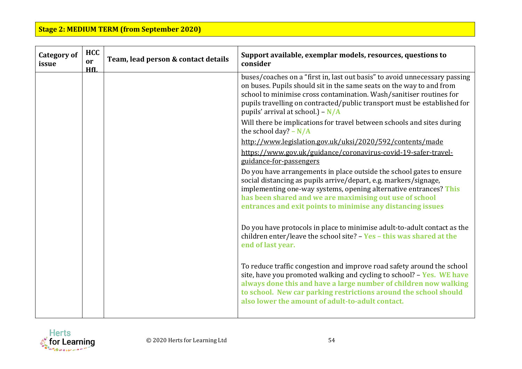| <b>Category of</b><br>issue | <b>HCC</b><br>or<br>HfI. | Team, lead person & contact details | Support available, exemplar models, resources, questions to<br>consider                                                                                                                                                                                                                                                                      |
|-----------------------------|--------------------------|-------------------------------------|----------------------------------------------------------------------------------------------------------------------------------------------------------------------------------------------------------------------------------------------------------------------------------------------------------------------------------------------|
|                             |                          |                                     | buses/coaches on a "first in, last out basis" to avoid unnecessary passing<br>on buses. Pupils should sit in the same seats on the way to and from<br>school to minimise cross contamination. Wash/sanitiser routines for<br>pupils travelling on contracted/public transport must be established for<br>pupils' arrival at school.) – $N/A$ |
|                             |                          |                                     | Will there be implications for travel between schools and sites during<br>the school day? $-N/A$                                                                                                                                                                                                                                             |
|                             |                          |                                     | http://www.legislation.gov.uk/uksi/2020/592/contents/made<br>https://www.gov.uk/guidance/coronavirus-covid-19-safer-travel-<br>guidance-for-passengers                                                                                                                                                                                       |
|                             |                          |                                     | Do you have arrangements in place outside the school gates to ensure<br>social distancing as pupils arrive/depart, e.g. markers/signage,<br>implementing one-way systems, opening alternative entrances? This<br>has been shared and we are maximising out use of school<br>entrances and exit points to minimise any distancing issues      |
|                             |                          |                                     | Do you have protocols in place to minimise adult-to-adult contact as the<br>children enter/leave the school site? $-$ Yes $-$ this was shared at the<br>end of last year.                                                                                                                                                                    |
|                             |                          |                                     | To reduce traffic congestion and improve road safety around the school<br>site, have you promoted walking and cycling to school? - Yes. WE have<br>always done this and have a large number of children now walking<br>to school. New car parking restrictions around the school should<br>also lower the amount of adult-to-adult contact.  |

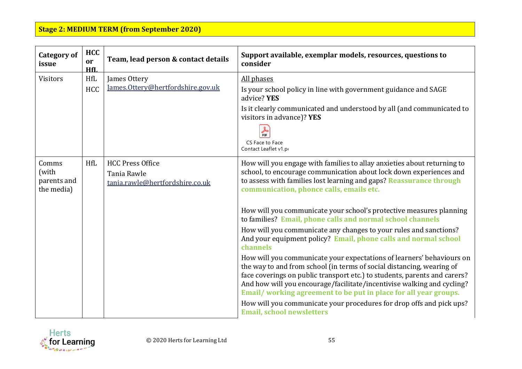| <b>Category of</b><br>issue                 | <b>HCC</b><br>or<br>HfL | Team, lead person & contact details                                       | Support available, exemplar models, resources, questions to<br>consider                                                                                                                                                                                                                               |
|---------------------------------------------|-------------------------|---------------------------------------------------------------------------|-------------------------------------------------------------------------------------------------------------------------------------------------------------------------------------------------------------------------------------------------------------------------------------------------------|
| <b>Visitors</b>                             | HfL                     | James Ottery<br>James.Ottery@hertfordshire.gov.uk                         | All phases                                                                                                                                                                                                                                                                                            |
|                                             | <b>HCC</b>              |                                                                           | Is your school policy in line with government guidance and SAGE<br>advice? YES                                                                                                                                                                                                                        |
|                                             |                         |                                                                           | Is it clearly communicated and understood by all (and communicated to<br>visitors in advance)? YES                                                                                                                                                                                                    |
|                                             |                         |                                                                           | ☆<br>CS Face to Face                                                                                                                                                                                                                                                                                  |
|                                             |                         |                                                                           | Contact Leaflet v1.po                                                                                                                                                                                                                                                                                 |
| Comms<br>(with<br>parents and<br>the media) | <b>HfL</b>              | <b>HCC Press Office</b><br>Tania Rawle<br>tania.rawle@hertfordshire.co.uk | How will you engage with families to allay anxieties about returning to<br>school, to encourage communication about lock down experiences and<br>to assess with families lost learning and gaps? Reassurance through<br>communication, phonce calls, emails etc.                                      |
|                                             |                         |                                                                           |                                                                                                                                                                                                                                                                                                       |
|                                             |                         |                                                                           | How will you communicate your school's protective measures planning<br>to families? Email, phone calls and normal school channels                                                                                                                                                                     |
|                                             |                         |                                                                           | How will you communicate any changes to your rules and sanctions?<br>And your equipment policy? Email, phone calls and normal school<br>channels                                                                                                                                                      |
|                                             |                         |                                                                           | How will you communicate your expectations of learners' behaviours on<br>the way to and from school (in terms of social distancing, wearing of<br>face coverings on public transport etc.) to students, parents and carers?<br>And how will you encourage/facilitate/incentivise walking and cycling? |
|                                             |                         |                                                                           | Email/working agreement to be put in place for all year groups.                                                                                                                                                                                                                                       |
|                                             |                         |                                                                           | How will you communicate your procedures for drop offs and pick ups?<br><b>Email, school newsletters</b>                                                                                                                                                                                              |

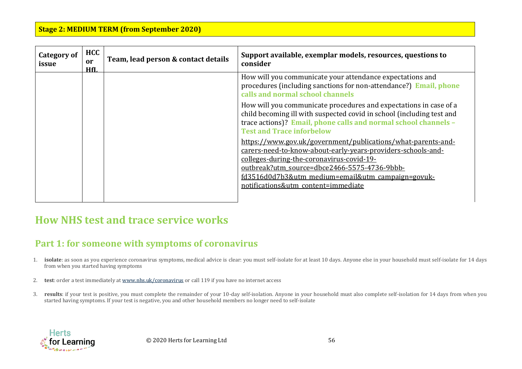| <b>Category of</b><br>issue | <b>HCC</b><br>or<br>HfL | Team, lead person & contact details | Support available, exemplar models, resources, questions to<br>consider                                                                                                                                                                                                                                               |
|-----------------------------|-------------------------|-------------------------------------|-----------------------------------------------------------------------------------------------------------------------------------------------------------------------------------------------------------------------------------------------------------------------------------------------------------------------|
|                             |                         |                                     | How will you communicate your attendance expectations and<br>procedures (including sanctions for non-attendance?) Email, phone<br>calls and normal school channels                                                                                                                                                    |
|                             |                         |                                     | How will you communicate procedures and expectations in case of a<br>child becoming ill with suspected covid in school (including test and<br>trace actions)? Email, phone calls and normal school channels -<br><b>Test and Trace inforbelow</b>                                                                     |
|                             |                         |                                     | https://www.gov.uk/government/publications/what-parents-and-<br>carers-need-to-know-about-early-years-providers-schools-and-<br>colleges-during-the-coronavirus-covid-19-<br>outbreak?utm_source=dbce2466-5575-4736-9bbb-<br>fd3516d0d7b3&utm medium=email&utm campaign=govuk-<br>notifications&utm content=immediate |

## **How NHS test and trace service works**

## **Part 1: for someone with symptoms of coronavirus**

- 1. **isolate**: as soon as you experience coronavirus symptoms, medical advice is clear: you must self-isolate for at least 10 days. Anyone else in your household must self-isolate for 14 days from when you started having symptoms
- 2. **test**: order a test immediately at [www.nhs.uk/coronavirus](https://www.nhs.uk/conditions/coronavirus-covid-19/) or call 119 if you have no internet access
- 3. **results**: if your test is positive, you must complete the remainder of your 10-day self-isolation. Anyone in your household must also complete self-isolation for 14 days from when you started having symptoms. If your test is negative, you and other household members no longer need to self-isolate

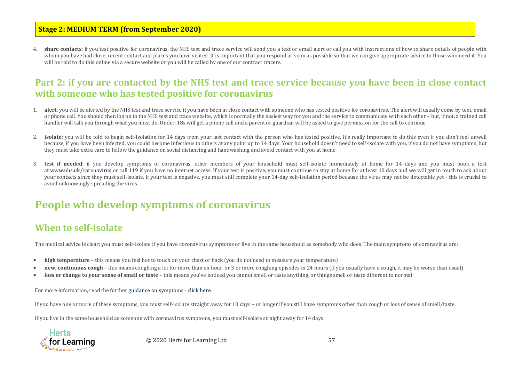4. **share contacts**: if you test positive for coronavirus, the NHS test and trace service will send you a text or email alert or call you with instructions of how to share details of people with whom you have had close, recent contact and places you have visited. It is important that you respond as soon as possible so that we can give appropriate advice to those who need it. You will be told to do this online via a secure website or you will be called by one of our contract tracers.

#### **Part 2: if you are contacted by the NHS test and trace service because you have been in close contact with someone who has tested positive for coronavirus**

- 1. **alert**: you will be alerted by the NHS test and trace service if you have been in close contact with someone who has tested positive for coronavirus. The alert will usually come by text, email or phone call. You should then log on to the NHS test and trace website, which is normally the easiest way for you and the service to communicate with each other – but, if not, a trained call handler will talk you through what you must do. Under-18s will get a phone call and a parent or guardian will be asked to give permission for the call to continue
- 2. **isolate**: you will be told to begin self-isolation for 14 days from your last contact with the person who has tested positive. It's really important to do this even if you don't feel unwell because, if you have been infected, you could become infectious to others at any point up to 14 days. Your household doesn't need to self-isolate with you, if you do not have symptoms, but they must take extra care to follow the guidance on social distancing and handwashing and avoid contact with you at home
- 3. **test if needed**: if you develop symptoms of coronavirus, other members of your household must self-isolate immediately at home for 14 days and you must book a test at [www.nhs.uk/coronavirus](https://www.nhs.uk/conditions/coronavirus-covid-19/) or call 119 if you have no internet access. If your test is positive, you must continue to stay at home for at least 10 days and we will get in touch to ask about your contacts since they must self-isolate. If your test is negative, you must still complete your 14-day self-isolation period because the virus may not be detectable yet - this is crucial to avoid unknowingly spreading the virus.

# **People who develop symptoms of coronavirus**

#### **When to self-isolate**

The medical advice is clear: you must self-isolate if you have coronavirus symptoms or live in the same household as somebody who does. The main symptoms of coronavirus are:

- **high temperature** this means you feel hot to touch on your chest or back (you do not need to measure your temperature)
- **new, continuous cough** this means coughing a lot for more than an hour, or 3 or more coughing episodes in 24 hours (if you usually have a cough, it may be worse than usual)
- **loss or change to your sense of smell or taste** this means you've noticed you cannot smell or taste anything, or things smell or taste different to normal

For more information, read the further [guidance on sympt](https://www.nhs.uk/conditions/coronavirus-covid-19/check-if-you-have-coronavirus-symptoms/)oms - [click here.](https://www.gov.uk/guidance/nhs-test-and-trace-how-it-works)

If you have one or more of these symptoms, you must self-isolate straight away for 10 days – or longer if you still have symptoms other than cough or loss of sense of smell/taste.

If you live in the same household as someone with coronavirus symptoms, you must self-isolate straight away for 14 days.



© 2020 Herts for Learning Ltd 57